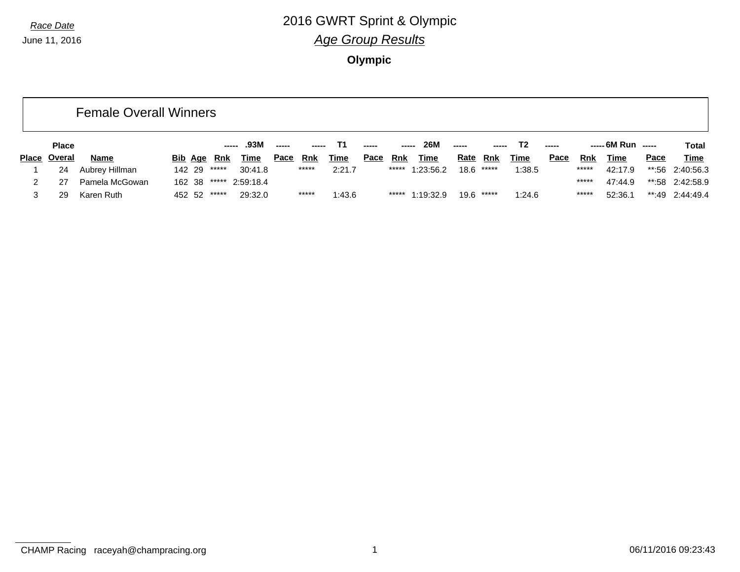|       |              | <b>Female Overall Winners</b> |        |             |                  |             |            |             |       |               |             |                 |              |                |       |       |                    |      |                   |
|-------|--------------|-------------------------------|--------|-------------|------------------|-------------|------------|-------------|-------|---------------|-------------|-----------------|--------------|----------------|-------|-------|--------------------|------|-------------------|
|       | <b>Place</b> |                               |        | -----       | .93M             | -----       |            |             | ----- | $\frac{1}{2}$ | 26M         | -----           |              | T <sub>2</sub> | $---$ |       | $--- 6M Run$ $---$ |      | Total             |
| Place | Overal       | Name                          |        | Bib Age Rnk | <u>Time</u>      | <u>Pace</u> | <u>Rnk</u> | <u>Time</u> | Pace  | Rnk           | <b>Time</b> | <b>Rate Rnk</b> |              | <b>Time</b>    | Pace  | Rnk   | Time               | Pace | <b>Time</b>       |
|       | 24           | Aubrey Hillman                | 142 29 | *****       | 30:41.8          |             | *****      | 2:21.7      |       | *****         | 1:23:56.2   |                 | $18.6$ ***** | 1:38.5         |       | ***** | 42:17.9            |      | $*$ :56 2:40:56.3 |
|       | 27           | Pamela McGowan                | 162 38 |             | ****** 2:59:18.4 |             |            |             |       |               |             |                 |              |                |       | ***** | 47:44.9            |      | **:58 2:42:58.9   |
|       | 29           | Karen Ruth                    | 452 52 | *****       | 29:32.0          |             | *****      | 1:43.6      |       | *****         | 1:19:32.9   |                 | $19.6$ ***** | 1:24.6         |       | ***** | 52:36.1            |      | **:49 2:44:49.4   |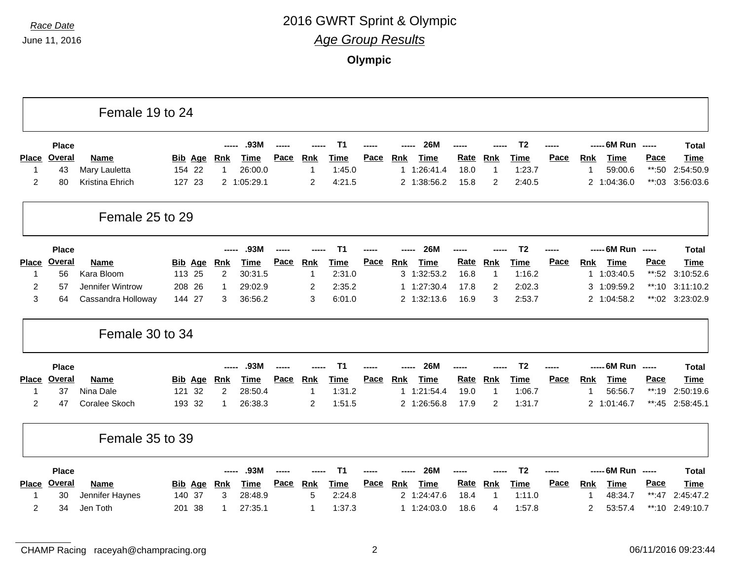|                |              | Female 19 to 24    |                |                |             |      |                |                |             |            |             |             |            |                |      |            |                    |                          |                 |
|----------------|--------------|--------------------|----------------|----------------|-------------|------|----------------|----------------|-------------|------------|-------------|-------------|------------|----------------|------|------------|--------------------|--------------------------|-----------------|
|                | <b>Place</b> |                    |                |                | .93M        |      |                | Т1             |             |            | <b>26M</b>  |             |            | T <sub>2</sub> |      |            | ----- 6M Run ----- |                          | Total           |
| <b>Place</b>   | Overal       | <b>Name</b>        | <b>Bib Age</b> | <b>Rnk</b>     | <b>Time</b> | Pace | Rnk            | <b>Time</b>    | Pace        | Rnk        | Time        | Rate        | <u>Rnk</u> | <b>Time</b>    | Pace | <b>Rnk</b> | <b>Time</b>        | Pace                     | Time            |
| 1              | 43           | Mary Lauletta      | 154 22         | 1              | 26:00.0     |      |                | 1:45.0         |             | 1          | 1:26:41.4   | 18.0        | 1          | 1:23.7         |      | 1          | 59:00.6            | $**:50$                  | 2:54:50.9       |
| 2              | 80           | Kristina Ehrich    | 127 23         |                | 2 1:05:29.1 |      | 2              | 4:21.5         |             |            | 2 1:38:56.2 | 15.8        | 2          | 2:40.5         |      |            | 2 1:04:36.0        | **:03                    | 3:56:03.6       |
|                |              | Female 25 to 29    |                |                |             |      |                |                |             |            |             |             |            |                |      |            |                    |                          |                 |
|                | <b>Place</b> |                    |                | $\frac{1}{2}$  | .93M        |      |                | T <sub>1</sub> |             |            | <b>26M</b>  |             |            | T <sub>2</sub> |      |            | ----- 6M Run ----- |                          | <b>Total</b>    |
| Place          | Overal       | <b>Name</b>        | <b>Bib Age</b> | <u>Rnk</u>     | Time        | Pace | <b>Rnk</b>     | Time           | Pace        | <u>Rnk</u> | Time        | Rate        | <b>Rnk</b> | Time           | Pace | <b>Rnk</b> | Time               | Pace                     | <b>Time</b>     |
| 1              | 56           | Kara Bloom         | 113 25         | $\overline{2}$ | 30:31.5     |      | $\overline{1}$ | 2:31.0         |             |            | 3 1:32:53.2 | 16.8        | 1          | 1:16.2         |      |            | 1 1:03:40.5        | $**:52$                  | 3:10:52.6       |
| $\overline{c}$ | 57           | Jennifer Wintrow   | 208<br>26      | 1              | 29:02.9     |      | 2              | 2:35.2         |             | 1          | 1:27:30.4   | 17.8        | 2          | 2:02.3         |      |            | 3 1:09:59.2        | $**:10$                  | 3:11:10.2       |
| 3              | 64           | Cassandra Holloway | 144 27         | 3              | 36:56.2     |      | 3              | 6:01.0         |             |            | 2 1:32:13.6 | 16.9        | 3          | 2:53.7         |      |            | 2 1:04:58.2        |                          | **:02 3:23:02.9 |
|                |              | Female 30 to 34    |                |                |             |      |                |                |             |            |             |             |            |                |      |            |                    |                          |                 |
|                | <b>Place</b> |                    |                |                | .93M        |      |                | Τ1             |             |            | <b>26M</b>  |             |            | T <sub>2</sub> |      |            | ----- 6M Run       | $\overline{\phantom{a}}$ | <b>Total</b>    |
| <b>Place</b>   | Overal       | <b>Name</b>        | <b>Bib Age</b> | <b>Rnk</b>     | <b>Time</b> | Pace | <b>Rnk</b>     | <b>Time</b>    | Pace        | Rnk        | Time        | <b>Rate</b> | <b>Rnk</b> | <b>Time</b>    | Pace | <b>Rnk</b> | <b>Time</b>        | Pace                     | Time            |
| -1             | 37           | Nina Dale          | 32<br>121      | $\overline{2}$ | 28:50.4     |      |                | 1:31.2         |             |            | 1 1:21:54.4 | 19.0        | 1          | 1:06.7         |      | 1          | 56:56.7            | $**:19$                  | 2:50:19.6       |
| 2              | 47           | Coralee Skoch      | 193 32         | 1              | 26:38.3     |      | $\overline{2}$ | 1:51.5         |             |            | 2 1:26:56.8 | 17.9        | 2          | 1:31.7         |      |            | 2 1:01:46.7        | $**:45$                  | 2:58:45.1       |
|                |              | Female 35 to 39    |                |                |             |      |                |                |             |            |             |             |            |                |      |            |                    |                          |                 |
|                | <b>Place</b> |                    |                | $\frac{1}{2}$  | .93M        |      |                | T <sub>1</sub> |             |            | <b>26M</b>  |             |            | T <sub>2</sub> |      |            | ----- 6M Run ----- |                          | <b>Total</b>    |
| <b>Place</b>   | Overal       | <b>Name</b>        | <b>Bib Age</b> | <u>Rnk</u>     | <b>Time</b> | Pace | <b>Rnk</b>     | Time           | <b>Pace</b> | <b>Rnk</b> | Time        | <b>Rate</b> | <b>Rnk</b> | Time           | Pace | <b>Rnk</b> | Time               | Pace                     | <b>Time</b>     |
|                | 30           | Jennifer Haynes    | 140 37         | 3              | 28:48.9     |      | 5              | 2:24.8         |             |            | 2 1:24:47.6 | 18.4        | 1          | 1:11.0         |      | 1          | 48:34.7            | $***:47$                 | 2:45:47.2       |
| 2              | 34           | Jen Toth           | 201 38         | 1              | 27:35.1     |      |                | 1:37.3         |             |            | 1 1:24:03.0 | 18.6        | 4          | 1:57.8         |      | 2          | 53:57.4            | $**:10$                  | 2:49:10.7       |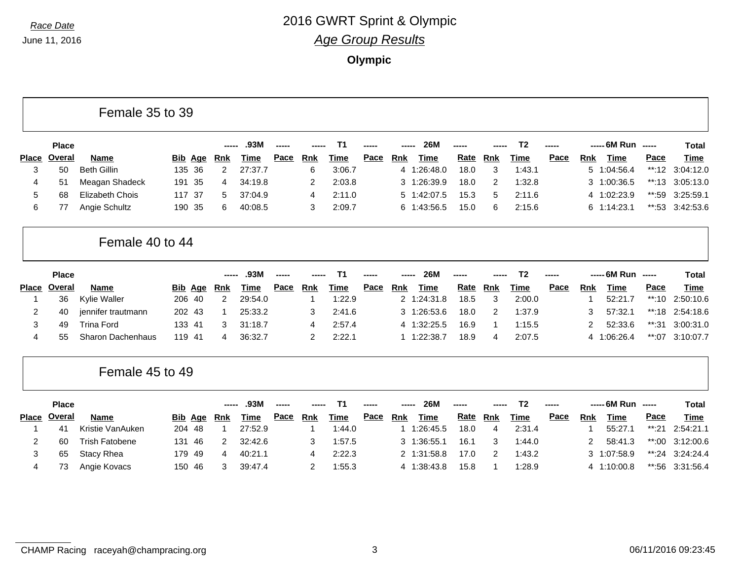|              |              | Female 35 to 39        |                |                |             |       |                |                |      |                |             |             |            |                |      |            |                    |         |              |
|--------------|--------------|------------------------|----------------|----------------|-------------|-------|----------------|----------------|------|----------------|-------------|-------------|------------|----------------|------|------------|--------------------|---------|--------------|
|              | <b>Place</b> |                        |                |                | .93M        | ----- |                | T <sub>1</sub> |      |                | <b>26M</b>  | -----       |            | T <sub>2</sub> |      |            | ----- 6M Run ----- |         | <b>Total</b> |
| <b>Place</b> | Overal       | <b>Name</b>            | <b>Bib Age</b> | <b>Rnk</b>     | <b>Time</b> | Pace  | <b>Rnk</b>     | <b>Time</b>    | Pace | Rnk            | Time        | Rate        | <b>Rnk</b> | <b>Time</b>    | Pace | Rnk        | Time               | Pace    | <b>Time</b>  |
| 3            | 50           | <b>Beth Gillin</b>     | 135 36         | 2              | 27:37.7     |       | 6              | 3:06.7         |      | 4              | 1:26:48.0   | 18.0        | 3          | 1:43.1         |      | 5          | 1:04:56.4          | $**:12$ | 3:04:12.0    |
| 4            | 51           | Meagan Shadeck         | 191 35         | 4              | 34:19.8     |       | 2              | 2:03.8         |      | 3              | 1:26:39.9   | 18.0        | 2          | 1:32.8         |      | 3          | 1:00:36.5          | **:13   | 3:05:13.0    |
| 5            | 68           | <b>Elizabeth Chois</b> | 117 37         | 5              | 37:04.9     |       | 4              | 2:11.0         |      | 5              | 1:42:07.5   | 15.3        | 5          | 2:11.6         |      |            | 4 1:02:23.9        | **:59   | 3:25:59.1    |
| 6            | 77           | Angie Schultz          | 190 35         | 6              | 40:08.5     |       | 3              | 2:09.7         |      |                | 6 1:43:56.5 | 15.0        | 6          | 2:15.6         |      | 6          | 1:14:23.1          | $**:53$ | 3:42:53.6    |
|              |              | Female 40 to 44        |                |                |             |       |                |                |      |                |             |             |            |                |      |            |                    |         |              |
|              | <b>Place</b> |                        |                |                | .93M        |       |                | T <sub>1</sub> |      |                | <b>26M</b>  |             |            | T <sub>2</sub> |      |            | ----- 6M Run ----- |         | <b>Total</b> |
| Place        | Overal       | <b>Name</b>            | <b>Bib Age</b> | <u>Rnk</u>     | <b>Time</b> | Pace  | <b>Rnk</b>     | Time           | Pace | <b>Rnk</b>     | Time        | <b>Rate</b> | <b>Rnk</b> | <b>Time</b>    | Pace | <b>Rnk</b> | <b>Time</b>        | Pace    | <b>Time</b>  |
|              | 36           | Kylie Waller           | 206 40         | $\overline{2}$ | 29:54.0     |       | 1              | 1:22.9         |      | $\overline{2}$ | 1:24:31.8   | 18.5        | 3          | 2:00.0         |      | 1          | 52:21.7            | $**:10$ | 2:50:10.6    |
| 2            | 40           | jennifer trautmann     | 202 43         |                | 25:33.2     |       | 3              | 2:41.6         |      | 3              | 1:26:53.6   | 18.0        | 2          | 1:37.9         |      | 3          | 57:32.1            | **:18   | 2:54:18.6    |
| 3            | 49           | <b>Trina Ford</b>      | 133 41         | 3              | 31:18.7     |       | 4              | 2:57.4         |      |                | 4 1:32:25.5 | 16.9        | 1          | 1:15.5         |      | 2          | 52:33.6            | $**:31$ | 3:00:31.0    |
| 4            | 55           | Sharon Dachenhaus      | 119 41         | 4              | 36:32.7     |       | 2              | 2:22.1         |      |                | 1 1:22:38.7 | 18.9        | 4          | 2:07.5         |      | 4          | 1:06:26.4          | $*$ :07 | 3:10:07.7    |
|              |              | Female 45 to 49        |                |                |             |       |                |                |      |                |             |             |            |                |      |            |                    |         |              |
|              | <b>Place</b> |                        |                |                | .93M        |       |                | T <sub>1</sub> |      |                | <b>26M</b>  | -----       |            | T <sub>2</sub> | ---- |            | ----- 6M Run ----- |         | <b>Total</b> |
| Place        | Overal       | <b>Name</b>            | <b>Bib Age</b> | <b>Rnk</b>     | <b>Time</b> | Pace  | <b>Rnk</b>     | Time           | Pace | Rnk            | <b>Time</b> | Rate        | <b>Rnk</b> | <b>Time</b>    | Pace | <b>Rnk</b> | <b>Time</b>        | Pace    | Time         |
|              | 41           | Kristie VanAuken       | 204 48         |                | 27:52.9     |       | -1             | 1:44.0         |      | $\mathbf{1}$   | 1:26:45.5   | 18.0        | 4          | 2:31.4         |      | -1         | 55:27.1            | $**:21$ | 2:54:21.1    |
| 2            | 60           | <b>Trish Fatobene</b>  | 131<br>46      | 2              | 32:42.6     |       | 3              | 1:57.5         |      | 3              | 1:36:55.1   | 16.1        | 3          | 1:44.0         |      | 2          | 58:41.3            | **:00   | 3:12:00.6    |
| 3            | 65           | <b>Stacy Rhea</b>      | 179<br>49      | 4              | 40:21.1     |       | 4              | 2:22.3         |      | 2              | 1:31:58.8   | 17.0        | 2          | 1:43.2         |      | 3          | 1:07:58.9          | **:24   | 3:24:24.4    |
| 4            | 73           | Angie Kovacs           | 150 46         | 3              | 39:47.4     |       | $\overline{c}$ | 1:55.3         |      |                | 4 1:38:43.8 | 15.8        | 1          | 1:28.9         |      | 4          | 1:10:00.8          | **:56   | 3:31:56.4    |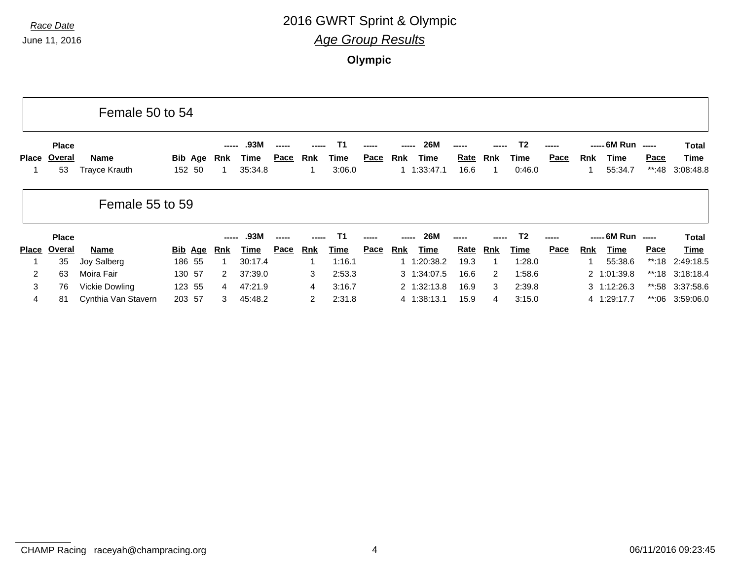|              |                              | Female 50 to 54              |                          |              |                         |      |                      |                             |             |            |                                 |                     |     |                             |               |     |                                 |                      |                                   |
|--------------|------------------------------|------------------------------|--------------------------|--------------|-------------------------|------|----------------------|-----------------------------|-------------|------------|---------------------------------|---------------------|-----|-----------------------------|---------------|-----|---------------------------------|----------------------|-----------------------------------|
| <b>Place</b> | <b>Place</b><br>Overal<br>53 | Name<br><b>Trayce Krauth</b> | <u>Bib</u> Age<br>152 50 | -----<br>Rnk | .93M<br>Time<br>35:34.8 | Pace | <b>Rnk</b>           | T1<br><u>Time</u><br>3:06.0 | <b>Pace</b> | <u>Rnk</u> | <b>26M</b><br>Time<br>1:33:47.1 | <b>Rate</b><br>16.6 | Rnk | <b>T2</b><br>Time<br>0.46.0 | -----<br>Pace | Rnk | ----- 6M Run<br>Time<br>55:34.7 | $-$<br>Pace<br>**:48 | Total<br><u>Time</u><br>3:08:48.8 |
|              |                              | Female 55 to 59              |                          |              |                         |      |                      |                             |             |            |                                 |                     |     |                             |               |     |                                 |                      |                                   |
|              | <b>Place</b>                 |                              |                          | -----        | .93M                    |      |                      |                             |             |            | 26M                             |                     |     | T2                          |               |     | ----- 6M Run                    | $- - - - -$          | Total                             |
| <b>Place</b> | Overal                       | Name                         | <u>Bib</u> Age           | <u>Rnk</u>   | Time                    | Pace | Rnk                  | <u>Time</u>                 | <u>Pace</u> | Rnk        | Time                            | <b>Rate</b>         | Rnk | <u>Time</u>                 | Pace          | Rnk | Time                            | <b>Pace</b>          | Time                              |
|              | 35                           | Joy Salberg                  | 186 55                   | -1           | 30:17.4                 |      |                      | 1:16.1                      |             |            | 1:20:38.2                       | 19.3                |     | 1:28.0                      |               |     | 55:38.6                         | **:18                | 2:49:18.5                         |
| 2            | 63                           | Moira Fair                   | 130 57                   | 2            | 37:39.0                 |      | 3                    | 2:53.3                      |             |            | 3 1:34:07.5                     | 16.6                | 2   | 1:58.6                      |               |     | 2 1:01:39.8                     |                      | **:18 3:18:18.4                   |
| 3            | 76                           | Vickie Dowling               | 123 55                   | 4            | 47:21.9                 |      | 4                    | 3:16.7                      |             |            | 2 1:32:13.8                     | 16.9                | 3   | 2:39.8                      |               |     | $3 \quad 1:12:26.3$             |                      | **:58 3:37:58.6                   |
| 4            | 81                           | Cynthia Van Stavern          | 203 57                   | 3            | 45:48.2                 |      | $\mathbf{2}^{\circ}$ | 2:31.8                      |             |            | 4 1:38:13.1                     | 15.9                | 4   | 3:15.0                      |               |     | 4 1:29:17.7                     | **:06                | 3:59:06.0                         |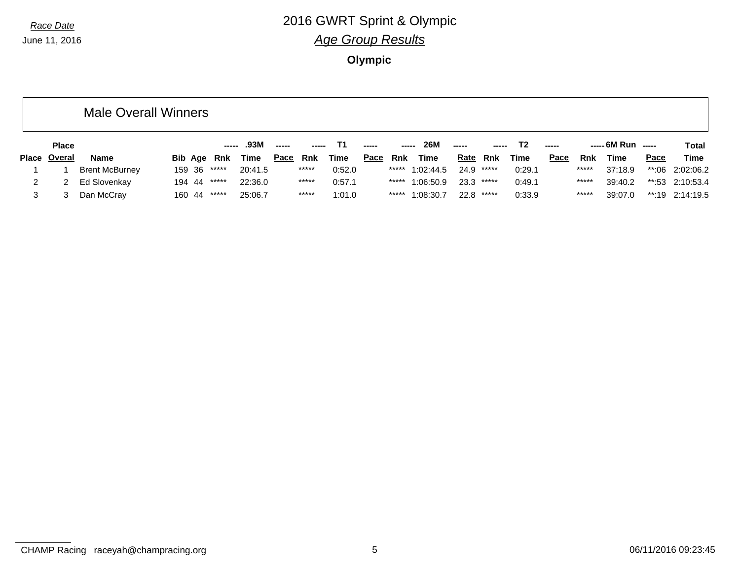**Olympic**

|              | <b>Male Overall Winners</b> |        |             |         |             |       |             |             |       |             |             |              |             |       |       |                    |      |                   |
|--------------|-----------------------------|--------|-------------|---------|-------------|-------|-------------|-------------|-------|-------------|-------------|--------------|-------------|-------|-------|--------------------|------|-------------------|
| <b>Place</b> |                             |        |             | .93M    | ------      |       |             |             | ----- | 26M         | -----       |              | Τ2          | ----- |       | $--- 6M Run$ $---$ |      | <b>Total</b>      |
| Place Overal | <b>Name</b>                 |        | Bib Age Rnk | Time    | <u>Pace</u> | Rnk   | <b>Time</b> | <u>Pace</u> | Rnk   | <b>Time</b> | <u>Rate</u> | Rnk          | <u>Time</u> | Pace  | Rnk   | Time               | Pace | <b>Time</b>       |
|              | <b>Brent McBurney</b>       | 159 36 | *****       | 20:41.5 |             | ***** | 0:52.0      |             | ***** | 1:02:44.5   |             | 24.9 *****   | 0:29.1      |       | ***** | 37:18.9            |      | **:06 2:02:06.2   |
|              | Ed Slovenkay                | 194 44 | *****       | 22:36.0 |             | ***** | 0:57.1      |             | ***** | 1:06:50.9   |             | $23.3$ ***** | 0:49.1      |       | ***** | 39:40.2            |      | $**:53$ 2:10:53.4 |
|              | Dan McCray                  | 160 44 | *****       | 25:06.7 |             | ***** | 1:01.0      |             | ***** | 1:08:30.7   |             | 22.8 *****   | 0:33.9      |       | ***** | 39:07.0            |      | $**:19$ 2:14:19.5 |

CHAMP Racing raceyah@champracing.org 5 06/11/2016 09:23:45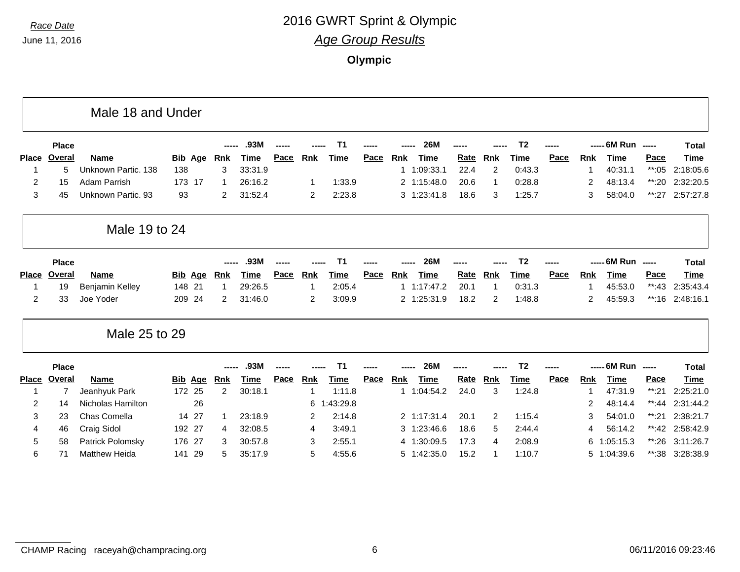|                |                | Male 18 and Under    |                   |    |                |         |      |                |                |      |            |             |             |                |                |      |                |              |                          |              |
|----------------|----------------|----------------------|-------------------|----|----------------|---------|------|----------------|----------------|------|------------|-------------|-------------|----------------|----------------|------|----------------|--------------|--------------------------|--------------|
|                | <b>Place</b>   |                      |                   |    |                | .93M    |      |                | T <sub>1</sub> |      |            | <b>26M</b>  |             |                | T <sub>2</sub> |      |                | ----- 6M Run | $\frac{1}{2}$            | <b>Total</b> |
| <b>Place</b>   | Overal         | <b>Name</b>          | Bib<br><u>Age</u> |    | <u>Rnk</u>     | Time    | Pace | <b>Rnk</b>     | Time           | Pace | <b>Rnk</b> | <b>Time</b> | Rate        | <b>Rnk</b>     | Time           | Pace | <b>Rnk</b>     | <b>Time</b>  | <b>Pace</b>              | <b>Time</b>  |
| 1              | 5              | Unknown Partic, 138  | 138               |    | 3              | 33:31.9 |      |                |                |      |            | 1 1:09:33.1 | 22.4        | $\overline{2}$ | 0:43.3         |      |                | 40:31.1      | $**:05$                  | 2:18:05.6    |
| $\overline{2}$ | 15             | Adam Parrish         | 173 17            |    | -1             | 26:16.2 |      | 1              | 1:33.9         |      |            | 2 1:15:48.0 | 20.6        | 1              | 0:28.8         |      | 2              | 48:13.4      | $**:20$                  | 2:32:20.5    |
| 3              | 45             | Unknown Partic, 93   | 93                |    | $\overline{2}$ | 31:52.4 |      | 2              | 2:23.8         |      |            | 3 1:23:41.8 | 18.6        | 3              | 1:25.7         |      | 3              | 58:04.0      | $***:27$                 | 2:57:27.8    |
|                |                | Male 19 to 24        |                   |    |                |         |      |                |                |      |            |             |             |                |                |      |                |              |                          |              |
|                | <b>Place</b>   |                      |                   |    |                | .93M    |      |                | T <sub>1</sub> |      |            | <b>26M</b>  |             |                | T <sub>2</sub> |      |                | ----- 6M Run | $\frac{1}{2}$            | <b>Total</b> |
| <b>Place</b>   | Overal         | <b>Name</b>          | <b>Bib Age</b>    |    | <u>Rnk</u>     | Time    | Pace | Rnk            | Time           | Pace | Rnk        | <b>Time</b> | Rate        | <b>Rnk</b>     | Time           | Pace | <b>Rnk</b>     | <b>Time</b>  | Pace                     | <b>Time</b>  |
| 1              | 19             | Benjamin Kelley      | 148 21            |    | 1              | 29:26.5 |      |                | 2:05.4         |      |            | 1.17:47.2   | 20.1        | -1             | 0:31.3         |      |                | 45:53.0      | $**:43$                  | 2:35:43.4    |
| $\overline{2}$ | 33             | Joe Yoder            | 209 24            |    | $\overline{2}$ | 31:46.0 |      | $\overline{2}$ | 3:09.9         |      |            | 2 1:25:31.9 | 18.2        | 2              | 1:48.8         |      | $\overline{2}$ | 45:59.3      | $***:16$                 | 2:48:16.1    |
|                |                | Male 25 to 29        |                   |    |                |         |      |                |                |      |            |             |             |                |                |      |                |              |                          |              |
|                | <b>Place</b>   |                      |                   |    |                | .93M    |      |                | Τ1             |      |            | <b>26M</b>  |             |                | T <sub>2</sub> |      |                | ----- 6M Run | $\overline{\phantom{a}}$ | <b>Total</b> |
| <b>Place</b>   | Overal         | <b>Name</b>          | <b>Bib Age</b>    |    | <b>Rnk</b>     | Time    | Pace | <b>Rnk</b>     | <b>Time</b>    | Pace | Rnk        | <b>Time</b> | <b>Rate</b> | <b>Rnk</b>     | Time           | Pace | <b>Rnk</b>     | Time         | Pace                     | <b>Time</b>  |
| 1              | $\overline{7}$ | Jeanhyuk Park        | 172 25            |    | $\overline{2}$ | 30:18.1 |      |                | 1:11.8         |      |            | 1 1:04:54.2 | 24.0        | 3              | 1:24.8         |      |                | 47:31.9      | $***:21$                 | 2:25:21.0    |
| 2              | 14             | Nicholas Hamilton    |                   | 26 |                |         |      | 6<br>-1        | :43:29.8       |      |            |             |             |                |                |      | 2              | 48:14.4      | $**:44$                  | 2:31:44.2    |
| 3              | 23             | Chas Comella         | 14 27             |    | -1             | 23:18.9 |      | 2              | 2:14.8         |      |            | 2 1:17:31.4 | 20.1        | 2              | 1:15.4         |      | 3              | 54:01.0      | $***:21$                 | 2:38:21.7    |
| 4              | 46             | Craig Sidol          | 192 27            |    | 4              | 32:08.5 |      | 4              | 3:49.1         |      | 3          | 1:23:46.6   | 18.6        | 5              | 2:44.4         |      | 4              | 56:14.2      | $**:42$                  | 2:58:42.9    |
| 5              | 58             | Patrick Polomsky     | 176 27            |    | 3              | 30:57.8 |      | 3              | 2:55.1         |      |            | 4 1:30:09.5 | 17.3        | 4              | 2:08.9         |      | 6.             | 1:05:15.3    | **:26                    | 3:11:26.7    |
| 6              | 71             | <b>Matthew Heida</b> | -29<br>141        |    | 5              | 35:17.9 |      | 5              | 4:55.6         |      | 5          | 1:42:35.0   | 15.2        | 1              | 1:10.7         |      |                | 5 1:04:39.6  | **:38                    | 3:28:38.9    |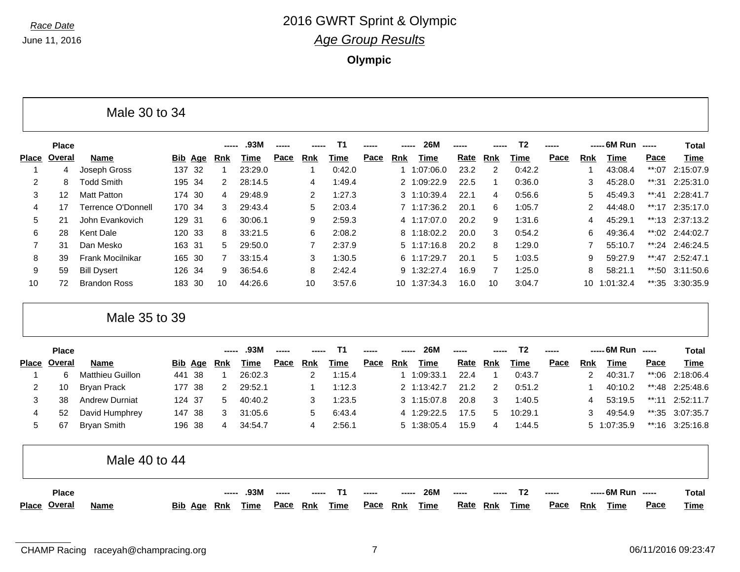|              | <b>Place</b>                 |                           |                |                | .93M        |      |                | T1                |             | <b>26M</b>                |             |            | T <sub>2</sub> |      |                | ----- 6M Run ----- |             | <b>Total</b> |
|--------------|------------------------------|---------------------------|----------------|----------------|-------------|------|----------------|-------------------|-------------|---------------------------|-------------|------------|----------------|------|----------------|--------------------|-------------|--------------|
| <b>Place</b> | <b>Overal</b>                | <b>Name</b>               | <b>Bib Age</b> | <b>Rnk</b>     | Time        | Pace | <b>Rnk</b>     | Time              | Pace        | <b>Rnk</b><br><b>Time</b> | Rate        | <b>Rnk</b> | Time           | Pace | <u>Rnk</u>     | Time               | Pace        | Time         |
| -1           | 4                            | Joseph Gross              | 137 32         | $\mathbf{1}$   | 23:29.0     |      | -1             | 0:42.0            |             | 1:07:06.0<br>1            | 23.2        | 2          | 0:42.2         |      | 1              | 43:08.4            | **:07       | 2:15:07.9    |
| 2            | 8                            | <b>Todd Smith</b>         | 195<br>-34     | 2              | 28:14.5     |      | 4              | 1:49.4            |             | 2 1:09:22.9               | 22.5        | -1         | 0:36.0         |      | 3              | 45:28.0            | $***:31$    | 2:25:31.0    |
| 3            | 12                           | <b>Matt Patton</b>        | 174<br>30      | 4              | 29:48.9     |      | 2              | 1:27.3            |             | 3 1:10:39.4               | 22.1        | 4          | 0:56.6         |      | 5              | 45:49.3            | $**:41$     | 2:28:41.7    |
| 4            | 17                           | <b>Terrence O'Donnell</b> | 170 34         | 3              | 29:43.4     |      | 5              | 2:03.4            |             | 7 1:17:36.2               | 20.1        | 6          | 1:05.7         |      | 2              | 44:48.0            | $**:17$     | 2:35:17.0    |
| 5            | 21                           | John Evankovich           | 129 31         | 6              | 30:06.1     |      | 9              | 2:59.3            |             | 4 1:17:07.0               | 20.2        | 9          | 1:31.6         |      | 4              | 45:29.1            | $**:13$     | 2:37:13.2    |
| 6            | 28                           | <b>Kent Dale</b>          | 120 33         | 8              | 33:21.5     |      | 6              | 2:08.2            |             | 1:18:02.2<br>8            | 20.0        | 3          | 0:54.2         |      | 6              | 49:36.4            | $**:02$     | 2:44:02.7    |
| 7            | 31                           | Dan Mesko                 | 163 31         | 5              | 29:50.0     |      | $\overline{7}$ | 2:37.9            |             | 1:17:16.8<br>5            | 20.2        | 8          | 1:29.0         |      | 7              | 55:10.7            | $**:24$     | 2:46:24.5    |
| 8            | 39                           | Frank Mocilnikar          | 165<br>- 30    | $\overline{7}$ | 33:15.4     |      | 3              | 1:30.5            |             | 1:17:29.7<br>6            | 20.1        | 5          | 1:03.5         |      | 9              | 59:27.9            | $**:47$     | 2:52:47.1    |
| 9            | 59                           | <b>Bill Dysert</b>        | 126 34         | 9              | 36:54.6     |      | 8              | 2:42.4            |             | 1:32:27.4<br>9            | 16.9        | 7          | 1:25.0         |      | 8              | 58:21.1            | **:50       | 3:11:50.6    |
| 10           | 72                           | <b>Brandon Ross</b>       | 183<br>30      | 10             | 44:26.6     |      | 10             | 3:57.6            |             | 1:37:34.3<br>10           | 16.0        | 10         | 3:04.7         |      | 10             | 1:01:32.4          | **:35       | 3:30:35.9    |
|              |                              | Male 35 to 39             |                |                |             |      |                |                   |             |                           |             |            |                |      |                |                    |             |              |
|              | <b>Place</b>                 |                           |                | ------         | .93M        |      |                | <b>T1</b>         |             | <b>26M</b>                | -----       |            | T <sub>2</sub> |      |                | ----- 6M Run ----- |             | <b>Total</b> |
| <b>Place</b> | Overal                       | <b>Name</b>               | <b>Bib Age</b> | <b>Rnk</b>     | <b>Time</b> | Pace | <b>Rnk</b>     | <b>Time</b>       | Pace        | <b>Rnk</b><br><b>Time</b> | Rate        | <b>Rnk</b> | <b>Time</b>    | Pace | <b>Rnk</b>     | <b>Time</b>        | Pace        | <b>Time</b>  |
| 1            | 6                            | <b>Matthieu Guillon</b>   | 38<br>441      | $\mathbf{1}$   | 26:02.3     |      | $\overline{c}$ | 1:15.4            |             | 1:09:33.1<br>1            | 22.4        | -1         | 0:43.7         |      | $\overline{2}$ | 40:31.7            | **:06       | 2:18:06.4    |
| 2            | 10                           | <b>Bryan Prack</b>        | 177<br>38      | 2              | 29:52.1     |      | -1             | 1:12.3            |             | 2 1:13:42.7               | 21.2        | 2          | 0:51.2         |      | -1             | 40:10.2            | $**:48$     | 2:25:48.6    |
| 3            | 38                           | <b>Andrew Durniat</b>     | 124<br>37      | 5              | 40:40.2     |      | 3              | 1:23.5            |             | 1:15:07.8<br>3            | 20.8        | 3          | 1:40.5         |      | 4              | 53:19.5            | $***:11$    | 2:52:11.7    |
| 4            | 52                           | David Humphrey            | 147 38         | 3              | 31:05.6     |      | 5              | 6:43.4            |             | 1:29:22.5<br>4            | 17.5        | 5          | 10:29.1        |      | 3              | 49:54.9            | $***:35$    | 3:07:35.7    |
| 5            | 67                           | <b>Bryan Smith</b>        | 196<br>38      | 4              | 34:54.7     |      | 4              | 2:56.1            |             | 5 1:38:05.4               | 15.9        | 4          | 1:44.5         |      |                | 5 1:07:35.9        | **:16       | 3:25:16.8    |
|              |                              | Male 40 to 44             |                |                |             |      |                |                   |             |                           |             |            |                |      |                |                    |             |              |
|              | <b>Place</b><br>Place Overal |                           | Bib Age        | <u>Rnk</u>     | .93M        | Pace | <b>Rnk</b>     | Τ1<br><b>Time</b> | <b>Pace</b> | 26M<br>Rnk                | <b>Rate</b> |            | Τ2             | Pace |                | ----- 6M Run       | $- - - - -$ | <b>Total</b> |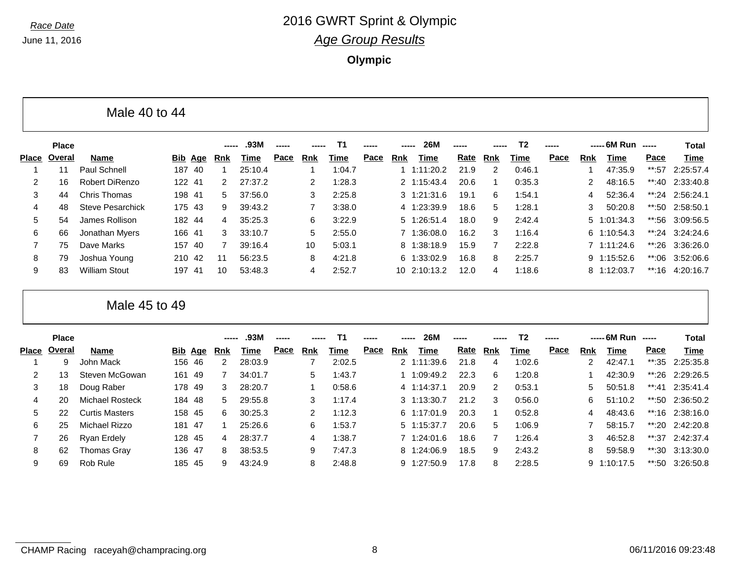**Olympic**

|       |              | Male 40 to 44           |     |        |                |         |      |                      |        |      |     |                     |       |     |                |      |     |                     |       |                   |
|-------|--------------|-------------------------|-----|--------|----------------|---------|------|----------------------|--------|------|-----|---------------------|-------|-----|----------------|------|-----|---------------------|-------|-------------------|
|       | <b>Place</b> |                         |     |        | -----          | .93M    |      |                      | - T1   |      |     | <b>26M</b>          | ----- |     | T <sub>2</sub> |      |     | ----- 6M Run -----  |       | Total             |
| Place | Overal       | Name                    |     |        | Bib Age Rnk    | Time    | Pace | Rnk                  | Time   | Pace | Rnk | Time                | Rate  | Rnk | Time           | Pace | Rnk | Time                | Pace  | Time              |
|       | 11           | Paul Schnell            | 187 | -40    |                | 25:10.4 |      |                      | 1:04.7 |      |     | 1:11:20.2           | 21.9  | 2   | 0:46.1         |      |     | 47:35.9             | **:57 | 2:25:57.4         |
| 2     | 16           | Robert DiRenzo          |     | 122 41 | 2              | 27:37.2 |      | $\mathbf{2}^{\circ}$ | 1:28.3 |      |     | 2 1:15:43.4         | 20.6  |     | 0:35.3         |      |     | 48:16.5             |       | **:40 $2:33:40.8$ |
| 3     | 44           | Chris Thomas            |     | 198 41 | 5              | 37:56.0 |      | 3                    | 2:25.8 |      |     | $3 \quad 1:21:31.6$ | 19.1  | 6   | 1:54.1         |      |     | 52:36.4             |       | **:24 2:56:24.1   |
| 4     | 48           | <b>Steve Pesarchick</b> |     | 175 43 | 9              | 39:43.2 |      |                      | 3:38.0 |      |     | 4 1:23:39.9         | 18.6  | 5   | 1:28.1         |      |     | 50:20.8             |       | **:50 2:58:50.1   |
| 5     | 54           | James Rollison          |     | 182 44 | $\overline{4}$ | 35:25.3 |      | 6                    | 3:22.9 |      |     | 5 1:26:51.4         | 18.0  | 9   | 2:42.4         |      |     | $5 \quad 1:01:34.3$ |       | **:56 3:09:56.5   |
| 6     | 66           | Jonathan Myers          |     | 166 41 | 3              | 33:10.7 |      | 5.                   | 2:55.0 |      |     | 7 1:36:08.0         | 16.2  | 3   | 1:16.4         |      |     | 6 1:10:54.3         |       | **:24 $3:24:24.6$ |
|       | 75           | Dave Marks              | 157 | - 40   |                | 39:16.4 |      | 10                   | 5:03.1 |      |     | 8 1:38:18.9         | 15.9  |     | 2:22.8         |      |     | 7 1:11:24.6         |       | **:26 3:36:26.0   |
| 8     | 79           | Joshua Young            |     | 210 42 | -11            | 56:23.5 |      | 8                    | 4:21.8 |      |     | 6 1:33:02.9         | 16.8  | 8   | 2:25.7         |      |     | 9 1:15:52.6         | **:06 | 3:52:06.6         |
| 9     | 83           | <b>William Stout</b>    | 197 | -41    | 10             | 53:48.3 |      | 4                    | 2:52.7 |      |     | 10 2:10:13.2        | 12.0  | 4   | 1:18.6         |      |     | 8 1:12:03.7         |       | **:16 4:20:16.7   |

Male 45 to 49

|       | <b>Place</b> |                       |         |     |        | .93M    | ------ |     | T1     |             | -----      | <b>26M</b>  | $\frac{1}{2}$ |               | T <sub>2</sub> | ----- |            | ----- 6M Run | $\begin{array}{cccccccccc} \multicolumn{2}{c}{} & \multicolumn{2}{c}{} & \multicolumn{2}{c}{} & \multicolumn{2}{c}{} & \multicolumn{2}{c}{} & \multicolumn{2}{c}{} & \multicolumn{2}{c}{} & \multicolumn{2}{c}{} & \multicolumn{2}{c}{} & \multicolumn{2}{c}{} & \multicolumn{2}{c}{} & \multicolumn{2}{c}{} & \multicolumn{2}{c}{} & \multicolumn{2}{c}{} & \multicolumn{2}{c}{} & \multicolumn{2}{c}{} & \multicolumn{2}{c}{} & \multicolumn{2}{c}{} & \multicolumn{2}{c}{} & \mult$ | Total             |
|-------|--------------|-----------------------|---------|-----|--------|---------|--------|-----|--------|-------------|------------|-------------|---------------|---------------|----------------|-------|------------|--------------|----------------------------------------------------------------------------------------------------------------------------------------------------------------------------------------------------------------------------------------------------------------------------------------------------------------------------------------------------------------------------------------------------------------------------------------------------------------------------------------|-------------------|
| Place | Overal       | <b>Name</b>           | Bib Age |     | Rnk    | Time    | Pace   | Rnk | Time   | <u>Pace</u> | <b>Rnk</b> | Time        | <u>Rate</u>   | Rnk           | Time           | Pace  | <b>Rnk</b> | Time         | Pace                                                                                                                                                                                                                                                                                                                                                                                                                                                                                   | Time              |
|       | 9            | John Mack             | 156 46  |     | $^{2}$ | 28:03.9 |        |     | 2:02.5 |             |            | 2 1:11:39.6 | 21.8          | 4             | 1:02.6         |       | 2          | 42:47.1      | **:35                                                                                                                                                                                                                                                                                                                                                                                                                                                                                  | 2:25:35.8         |
| 2     | 13           | Steven McGowan        | 161     | -49 |        | 34:01.7 |        | 5   | 1:43.7 |             |            | 1:09:49.2   | 22.3          | 6             | 1:20.8         |       |            | 42:30.9      |                                                                                                                                                                                                                                                                                                                                                                                                                                                                                        | **:26 2:29:26.5   |
| 3     | 18           | Doug Raber            | 178 49  |     | 3      | 28:20.7 |        |     | 0:58.6 |             |            | 4 1:14:37.1 | 20.9          | $\mathcal{P}$ | 0:53.1         |       | 5.         | 50:51.8      | **:41                                                                                                                                                                                                                                                                                                                                                                                                                                                                                  | 2:35:41.4         |
| 4     | 20           | Michael Rosteck       | 184 48  |     | 5.     | 29:55.8 |        | 3   | 1:17.4 |             |            | 3 1:13:30.7 | 21.2          | 3             | 0:56.0         |       | 6          | 51:10.2      |                                                                                                                                                                                                                                                                                                                                                                                                                                                                                        | **:50 $2:36:50.2$ |
| 5     | 22           | <b>Curtis Masters</b> | 158 45  |     | 6.     | 30:25.3 |        |     | 1:12.3 |             |            | 6 1:17:01.9 | 20.3          |               | 0:52.8         |       | 4          | 48:43.6      |                                                                                                                                                                                                                                                                                                                                                                                                                                                                                        | $**:16$ 2:38:16.0 |
| 6     | 25           | Michael Rizzo         | 181     | -47 |        | 25:26.6 |        | 6   | 1:53.7 |             |            | 5 1:15:37.7 | 20.6          | 5             | 1:06.9         |       |            | 58:15.7      |                                                                                                                                                                                                                                                                                                                                                                                                                                                                                        | **:20 2:42:20.8   |
|       | 26           | Ryan Erdely           | 128 45  |     | 4      | 28:37.7 |        | 4   | 1:38.7 |             |            | 7 1:24:01.6 | 18.6          |               | 1:26.4         |       | 3          | 46:52.8      |                                                                                                                                                                                                                                                                                                                                                                                                                                                                                        | **:37 2:42:37.4   |
| 8     | 62           | Thomas Grav           | 136 47  |     | 8      | 38:53.5 |        | 9   | 7:47.3 |             |            | 8 1:24:06.9 | 18.5          | 9             | 2:43.2         |       | 8          | 59:58.9      | **:30                                                                                                                                                                                                                                                                                                                                                                                                                                                                                  | 3:13:30.0         |
| 9     | 69           | Rob Rule              | 185     | -45 | 9      | 43:24.9 |        | 8   | 2:48.8 |             | 9.         | 1:27:50.9   | 17.8          | 8             | 2:28.5         |       |            | 9 1:10:17.5  |                                                                                                                                                                                                                                                                                                                                                                                                                                                                                        | **:50 $3:26:50.8$ |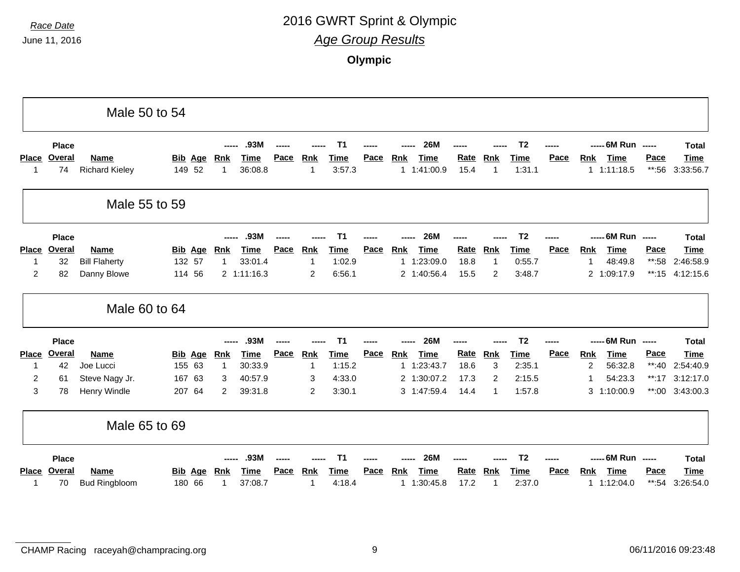|                    |                     | Male 50 to 54                        |                          |              |                 |      |                 |                |             |            |                            |                     |                  |                |      |            |                     |                          |                          |
|--------------------|---------------------|--------------------------------------|--------------------------|--------------|-----------------|------|-----------------|----------------|-------------|------------|----------------------------|---------------------|------------------|----------------|------|------------|---------------------|--------------------------|--------------------------|
|                    | <b>Place</b>        |                                      |                          |              | .93M            |      |                 | Τ1             |             |            | <b>26M</b>                 |                     |                  | T <sub>2</sub> |      |            | ----- 6M Run -----  |                          | <b>Total</b>             |
| <b>Place</b><br>-1 | <b>Overal</b><br>74 | <b>Name</b><br><b>Richard Kieley</b> | <b>Bib Age</b><br>149 52 | Rnk<br>1     | Time<br>36:08.8 | Pace | <b>Rnk</b><br>1 | Time<br>3:57.3 | Pace        | <b>Rnk</b> | <b>Time</b><br>1 1:41:00.9 | <b>Rate</b><br>15.4 | <b>Rnk</b><br>-1 | Time<br>1:31.1 | Pace | Rnk        | Time<br>1.1:11:18.5 | Pace<br>$**:56$          | <b>Time</b><br>3:33:56.7 |
|                    |                     | Male 55 to 59                        |                          |              |                 |      |                 |                |             |            |                            |                     |                  |                |      |            |                     |                          |                          |
|                    | <b>Place</b>        |                                      |                          |              | .93M            |      |                 | Τ1             |             |            | <b>26M</b>                 |                     |                  | T <sub>2</sub> |      |            | ----- 6M Run        | $\overline{\phantom{a}}$ | <b>Total</b>             |
| <b>Place</b>       | Overal              | <b>Name</b>                          | <b>Bib Age</b>           | <b>Rnk</b>   | <b>Time</b>     | Pace | Rnk             | <b>Time</b>    | Pace        | Rnk        | <b>Time</b>                | Rate                | Rnk              | <b>Time</b>    | Pace | <b>Rnk</b> | Time                | Pace                     | <b>Time</b>              |
| 1                  | 32                  | <b>Bill Flaherty</b>                 | 132 57                   | $\mathbf{1}$ | 33:01.4         |      | 1               | 1:02.9         |             |            | 1 1:23:09.0                | 18.8                | 1                | 0:55.7         |      |            | 48:49.8             | $**:58$                  | 2:46:58.9                |
| $\overline{2}$     | 82                  | Danny Blowe                          | 114 56                   |              | 2 1:11:16.3     |      | 2               | 6:56.1         |             |            | 2 1:40:56.4                | 15.5                | 2                | 3:48.7         |      |            | 2 1:09:17.9         | $**:15$                  | 4:12:15.6                |
|                    |                     | Male 60 to 64                        |                          |              |                 |      |                 |                |             |            |                            |                     |                  |                |      |            |                     |                          |                          |
|                    | <b>Place</b>        |                                      |                          |              | .93M            |      |                 |                |             |            | <b>26M</b>                 |                     |                  | T <sub>2</sub> |      |            | ----- 6M Run -----  |                          | <b>Total</b>             |
| <b>Place</b>       | <b>Overal</b>       | <b>Name</b>                          | <b>Bib Age</b>           | <b>Rnk</b>   | <b>Time</b>     | Pace | Rnk             | <b>Time</b>    | Pace        | <b>Rnk</b> | <b>Time</b>                | Rate                | Rnk              | <b>Time</b>    | Pace | <b>Rnk</b> | <b>Time</b>         | Pace                     | <b>Time</b>              |
| $\mathbf 1$        | 42                  | Joe Lucci                            | 155 63                   | $\mathbf{1}$ | 30:33.9         |      |                 | 1:15.2         |             |            | 1 1:23:43.7                | 18.6                | 3                | 2:35.1         |      | 2          | 56:32.8             | $**:40$                  | 2:54:40.9                |
| $\overline{2}$     | 61                  | Steve Nagy Jr.                       | 167<br>63                | 3            | 40:57.9         |      | 3               | 4:33.0         |             |            | 2 1:30:07.2                | 17.3                | 2                | 2:15.5         |      |            | 54:23.3             | $**:17$                  | 3:12:17.0                |
| 3                  | 78                  | Henry Windle                         | 207 64                   | 2            | 39:31.8         |      | 2               | 3:30.1         |             |            | 3 1:47:59.4                | 14.4                | -1               | 1:57.8         |      |            | 3 1:10:00.9         |                          | **:00 3:43:00.3          |
|                    |                     | Male 65 to 69                        |                          |              |                 |      |                 |                |             |            |                            |                     |                  |                |      |            |                     |                          |                          |
|                    | <b>Place</b>        |                                      |                          |              | .93M            |      |                 | Τ1             |             |            | <b>26M</b>                 |                     |                  | T <sub>2</sub> |      |            | ----- 6M Run -----  |                          | <b>Total</b>             |
| <b>Place</b>       | Overal              | <b>Name</b>                          | Age<br>Bib               | Rnk          | Time            | Pace | <b>Rnk</b>      | <u>Time</u>    | <b>Pace</b> | <b>Rnk</b> | <b>Time</b>                | <b>Rate</b>         | <b>Rnk</b>       | <u>Time</u>    | Pace | <b>Rnk</b> | <b>Time</b>         | <b>Pace</b>              | <b>Time</b>              |
| 1                  | 70                  | <b>Bud Ringbloom</b>                 | 180 66                   | 1            | 37:08.7         |      | 1               | 4:18.4         |             |            | 1 1:30:45.8                | 17.2                | -1               | 2:37.0         |      |            | 1 1:12:04.0         | $***:54$                 | 3:26:54.0                |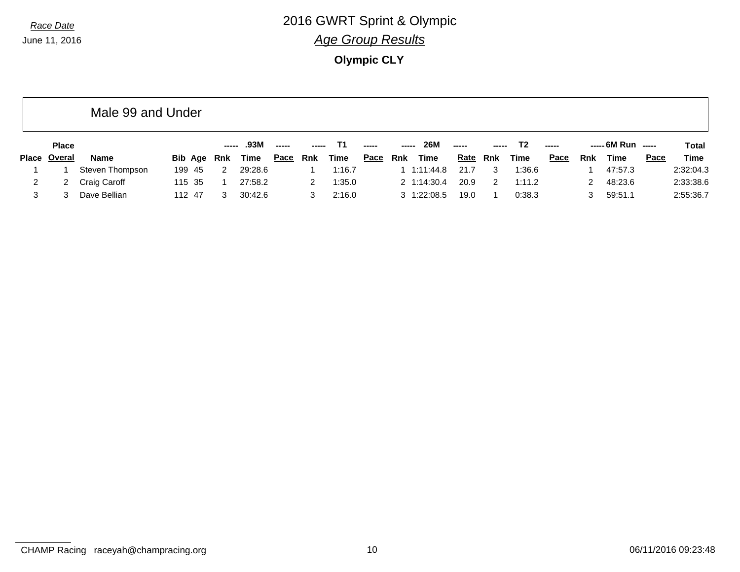**Olympic CLY**

|   |              | Male 99 and Under |         |                      |         |               |            |             |               |               |             |             |       |                |       |               |                    |      |              |
|---|--------------|-------------------|---------|----------------------|---------|---------------|------------|-------------|---------------|---------------|-------------|-------------|-------|----------------|-------|---------------|--------------------|------|--------------|
|   | <b>Place</b> |                   |         | -----                | .93M    | $\frac{1}{2}$ |            |             | $\frac{1}{2}$ | $\frac{1}{2}$ | <b>26M</b>  | $---$       | ----- | T <sub>2</sub> | $---$ |               | $--- 6M Run$ $---$ |      | <b>Total</b> |
|   | Place Overal | <b>Name</b>       | Bib Age | Rnk                  | Time    | <u>Pace</u>   | <b>Rnk</b> | <u>Time</u> | <u>Pace</u>   | Rnk           | <b>Time</b> | <u>Rate</u> | Rnk   | <u>Time</u>    | Pace  | Rnk           | Time               | Pace | <b>Time</b>  |
|   |              | Steven Thompson   | 199 45  | $\mathbf{2}^{\circ}$ | 29:28.6 |               |            | 1:16.7      |               | 1.11:44.8     |             | 21.7        | 3     | 1:36.6         |       |               | 47:57.3            |      | 2:32:04.3    |
| 2 |              | Craig Caroff      | 115 35  |                      | 27:58.2 |               | 2          | 1:35.0      |               | 2 1:14:30.4   |             | 20.9        | -2    | 1:11.2         |       | $\mathcal{P}$ | 48:23.6            |      | 2:33:38.6    |
| 3 |              | Dave Bellian      | 112 47  | 3                    | 30:42.6 |               |            | 2:16.0      |               | 3 1:22:08.5   |             | 19.0        |       | 0:38.3         |       | 3             | 59:51.1            |      | 2:55:36.7    |

CHAMP Racing raceyah@champracing.org 10 10 cHAMP Racing raceyah@champracing.org 10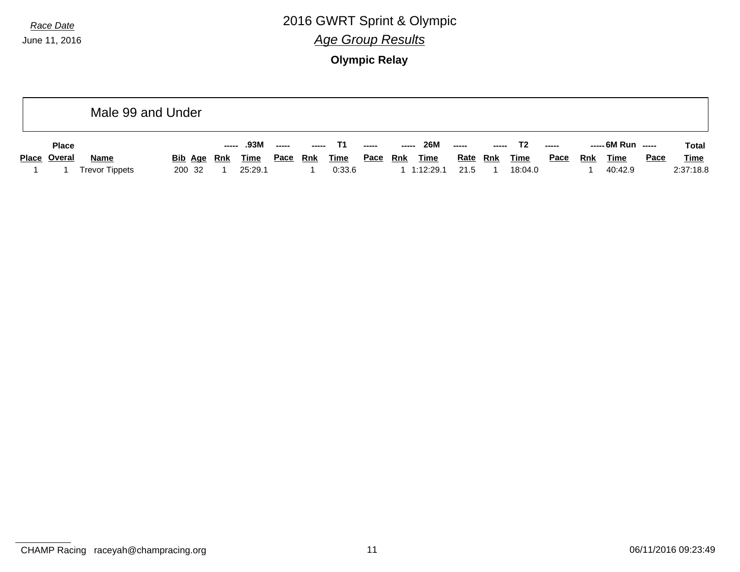June 11, 2016

### *Race Date* 2016 GWRT Sprint & Olympic *Age Group Results*

**Olympic Relay**

|              | Male 99 and Under     |         |       |             |             |               |             |                                                                                                                                                                                                                                                                                                                                                                                                                                                                                        |            |             |                                                                                                                                                                                                                                                                                                                                                                                                                                                                                        |            |             |             |     |                    |      |              |
|--------------|-----------------------|---------|-------|-------------|-------------|---------------|-------------|----------------------------------------------------------------------------------------------------------------------------------------------------------------------------------------------------------------------------------------------------------------------------------------------------------------------------------------------------------------------------------------------------------------------------------------------------------------------------------------|------------|-------------|----------------------------------------------------------------------------------------------------------------------------------------------------------------------------------------------------------------------------------------------------------------------------------------------------------------------------------------------------------------------------------------------------------------------------------------------------------------------------------------|------------|-------------|-------------|-----|--------------------|------|--------------|
| <b>Place</b> |                       |         | ----- | .93M        | -----       | $\frac{1}{2}$ | Т1          | $\begin{array}{ccc} \multicolumn{3}{c}{} & \multicolumn{3}{c}{} & \multicolumn{3}{c}{} & \multicolumn{3}{c}{} & \multicolumn{3}{c}{} & \multicolumn{3}{c}{} & \multicolumn{3}{c}{} & \multicolumn{3}{c}{} & \multicolumn{3}{c}{} & \multicolumn{3}{c}{} & \multicolumn{3}{c}{} & \multicolumn{3}{c}{} & \multicolumn{3}{c}{} & \multicolumn{3}{c}{} & \multicolumn{3}{c}{} & \multicolumn{3}{c}{} & \multicolumn{3}{c}{} & \multicolumn{3}{c}{} & \multicolumn{3}{c}{} & \multicolumn$ |            | <b>26M</b>  | $\begin{array}{ccc} \multicolumn{3}{c}{} & \multicolumn{3}{c}{} & \multicolumn{3}{c}{} & \multicolumn{3}{c}{} & \multicolumn{3}{c}{} & \multicolumn{3}{c}{} & \multicolumn{3}{c}{} & \multicolumn{3}{c}{} & \multicolumn{3}{c}{} & \multicolumn{3}{c}{} & \multicolumn{3}{c}{} & \multicolumn{3}{c}{} & \multicolumn{3}{c}{} & \multicolumn{3}{c}{} & \multicolumn{3}{c}{} & \multicolumn{3}{c}{} & \multicolumn{3}{c}{} & \multicolumn{3}{c}{} & \multicolumn{3}{c}{} & \multicolumn$ |            | T2          | -----       |     | ----- 6M Run ----- |      | <b>Total</b> |
| Place Overal | <b>Name</b>           | Bib Age | Rnk   | <b>Time</b> | <u>Pace</u> | <u>Rnk</u>    | <b>Time</b> | <u>Pace</u>                                                                                                                                                                                                                                                                                                                                                                                                                                                                            | <u>Rnk</u> | <b>Time</b> | <u>Rate</u>                                                                                                                                                                                                                                                                                                                                                                                                                                                                            | <u>Rnk</u> | <b>Time</b> | <b>Pace</b> | Rnk | <b>Time</b>        | Pace | <u>Time</u>  |
|              | <b>Trevor Tippets</b> | 200 32  |       | 25:29.1     |             |               | 0:33.6      |                                                                                                                                                                                                                                                                                                                                                                                                                                                                                        |            | 1:12:29.1   | 21.5                                                                                                                                                                                                                                                                                                                                                                                                                                                                                   |            | 18:04.0     |             |     | 40:42.9            |      | 2:37:18.8    |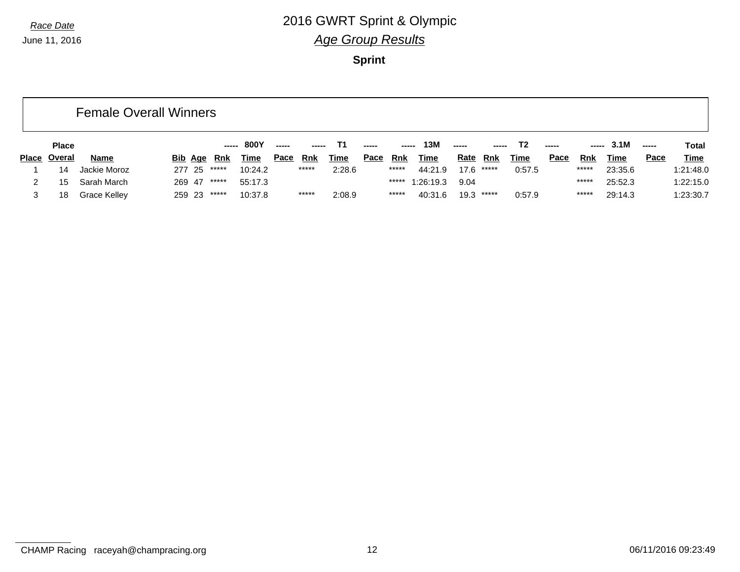June 11, 2016

### *Race Date* 2016 GWRT Sprint & Olympic *Age Group Results*

**Sprint**

|              |              | <b>Female Overall Winners</b> |        |             |         |             |       |             |             |             |             |             |              |             |               |            |         |       |             |
|--------------|--------------|-------------------------------|--------|-------------|---------|-------------|-------|-------------|-------------|-------------|-------------|-------------|--------------|-------------|---------------|------------|---------|-------|-------------|
|              | <b>Place</b> |                               |        |             | 800Y    | -----       |       | Т1          | -----       | $- - - - -$ | 13M         | -----       |              | T2          | $\frac{1}{2}$ | -----      | 3.1M    | ----- | Total       |
| <b>Place</b> | Overal       | <b>Name</b>                   |        | Bib Age Rnk | Time    | <u>Pace</u> | Rnk   | <u>Time</u> | <u>Pace</u> | Rnk         | <u>Time</u> | <u>Rate</u> | Rnk          | <u>Time</u> | Pace          | <b>Rnk</b> | Time    | Pace  | <b>Time</b> |
|              | 14           | Jackie Moroz                  | 277 25 | *****       | 10:24.2 |             | ***** | 2:28.6      |             | $*****$     | 44:21.9     |             | $17.6$ ***** | 0:57.5      |               | *****      | 23:35.6 |       | 1:21:48.0   |
|              | 15           | Sarah March                   | 269 47 | *****       | 55:17.3 |             |       |             |             | *****       | 1:26:19.3   | 9.04        |              |             |               | *****      | 25:52.3 |       | 1:22:15.0   |
|              | 18           | Grace Kelley                  | 259 23 | *****       | 10:37.8 |             | ***** | 2:08.9      |             | *****       | 40:31.6     |             | $19.3$ ***** | 0:57.9      |               | *****      | 29:14.3 |       | 1:23:30.7   |

CHAMP Racing raceyah@champracing.org 12 06/11/2016 09:23:49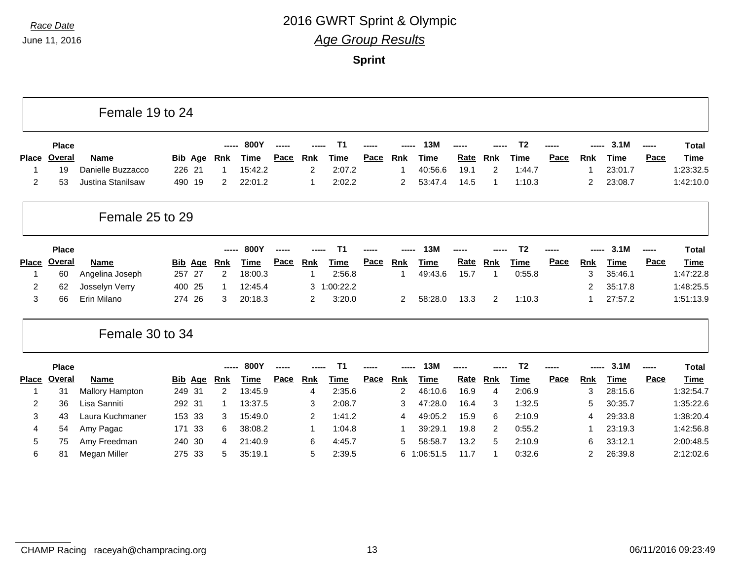|                |               | Female 19 to 24          |                |                |             |      |                |                |             |              |             |      |                |                |      |                |             |       |              |
|----------------|---------------|--------------------------|----------------|----------------|-------------|------|----------------|----------------|-------------|--------------|-------------|------|----------------|----------------|------|----------------|-------------|-------|--------------|
|                | <b>Place</b>  |                          |                |                | 800Y        |      |                | T <sub>1</sub> |             |              | 13M         |      |                | T <sub>2</sub> |      |                | 3.1M        | ----- | <b>Total</b> |
| <b>Place</b>   | Overal        | <b>Name</b>              | <b>Bib Age</b> | <u>Rnk</u>     | Time        | Pace | <b>Rnk</b>     | <b>Time</b>    | <b>Pace</b> | <b>Rnk</b>   | <b>Time</b> | Rate | <b>Rnk</b>     | Time           | Pace | <b>Rnk</b>     | <b>Time</b> | Pace  | Time         |
|                | 19            | Danielle Buzzacco        | 226 21         | $\mathbf{1}$   | 15:42.2     |      | $\overline{2}$ | 2:07.2         |             | -1           | 40:56.6     | 19.1 | $\overline{2}$ | 1:44.7         |      |                | 23:01.7     |       | 1:23:32.5    |
| $\overline{c}$ | 53            | <b>Justina Stanilsaw</b> | 490 19         | $\overline{2}$ | 22:01.2     |      |                | 2:02.2         |             | 2            | 53:47.4     | 14.5 | -1             | 1:10.3         |      | $\overline{2}$ | 23:08.7     |       | 1:42:10.0    |
|                |               | Female 25 to 29          |                |                |             |      |                |                |             |              |             |      |                |                |      |                |             |       |              |
|                | <b>Place</b>  |                          |                |                | 800Y        |      |                | Т1             |             |              | 13M         |      |                | T <sub>2</sub> |      |                | 3.1M        | ----- | <b>Total</b> |
| <b>Place</b>   | <b>Overal</b> | Name                     | <b>Bib Age</b> | <u>Rnk</u>     | Time        | Pace | <b>Rnk</b>     | Time           | Pace        | <u>Rnk</u>   | Time        | Rate | <b>Rnk</b>     | <u>Time</u>    | Pace | <b>Rnk</b>     | <b>Time</b> | Pace  | Time         |
|                | 60            | Angelina Joseph          | 27<br>257      | 2              | 18:00.3     |      |                | 2:56.8         |             | $\mathbf{1}$ | 49:43.6     | 15.7 |                | 0:55.8         |      | 3              | 35:46.1     |       | 1:47:22.8    |
| 2              | 62            | Josselyn Verry           | 400 25         | 1              | 12:45.4     |      |                | 3 1:00:22.2    |             |              |             |      |                |                |      | 2              | 35:17.8     |       | 1:48:25.5    |
| 3              | 66            | Erin Milano              | 274<br>26      | 3              | 20:18.3     |      | $\overline{2}$ | 3:20.0         |             | 2            | 58:28.0     | 13.3 | 2              | 1:10.3         |      |                | 27:57.2     |       | 1:51:13.9    |
|                |               | Female 30 to 34          |                |                |             |      |                |                |             |              |             |      |                |                |      |                |             |       |              |
|                | <b>Place</b>  |                          |                | ------         | 800Y        |      |                | T <sub>1</sub> |             |              | 13M         |      |                | T <sub>2</sub> |      |                | 3.1M        | ----- | <b>Total</b> |
| <b>Place</b>   | Overal        | Name                     | <b>Bib Age</b> | <u>Rnk</u>     | <b>Time</b> | Pace | <b>Rnk</b>     | <b>Time</b>    | Pace        | <b>Rnk</b>   | <b>Time</b> | Rate | <b>Rnk</b>     | <b>Time</b>    | Pace | <u>Rnk</u>     | <b>Time</b> | Pace  | <b>Time</b>  |
|                | 31            | <b>Mallory Hampton</b>   | 249 31         | $\overline{2}$ | 13:45.9     |      | 4              | 2:35.6         |             | 2            | 46:10.6     | 16.9 | $\overline{4}$ | 2:06.9         |      | 3              | 28:15.6     |       | 1:32:54.7    |
| 2              | 36            | Lisa Sanniti             | 292 31         | 1              | 13:37.5     |      | 3              | 2:08.7         |             | 3            | 47:28.0     | 16.4 | 3              | 1:32.5         |      | 5              | 30:35.7     |       | 1:35:22.6    |
| 3              | 43            | Laura Kuchmaner          | 153 33         | 3              | 15:49.0     |      | $\overline{2}$ | 1:41.2         |             | 4            | 49:05.2     | 15.9 | 6              | 2:10.9         |      | 4              | 29:33.8     |       | 1:38:20.4    |
| 4              | 54            | Amy Pagac                | 171<br>-33     | 6              | 38:08.2     |      |                | 1:04.8         |             | -1           | 39:29.1     | 19.8 | 2              | 0:55.2         |      |                | 23:19.3     |       | 1:42:56.8    |
| 5              | 75            | Amy Freedman             | 240 30         | 4              | 21:40.9     |      | 6              | 4:45.7         |             | 5            | 58:58.7     | 13.2 | 5              | 2:10.9         |      | 6              | 33:12.1     |       | 2:00:48.5    |
| 6              | 81            | Megan Miller             | 275 33         | 5              | 35:19.1     |      | 5              | 2:39.5         |             | 6            | 1:06:51.5   | 11.7 | -1             | 0:32.6         |      | $\overline{2}$ | 26:39.8     |       | 2:12:02.6    |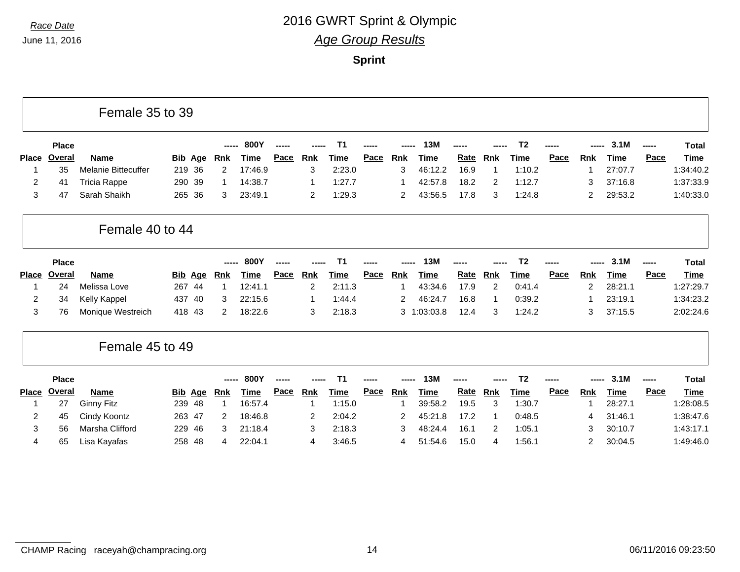|                |               | Female 35 to 39     |                          |                       |               |      |                |                |      |                |             |      |                |                |      |                |             |             |              |
|----------------|---------------|---------------------|--------------------------|-----------------------|---------------|------|----------------|----------------|------|----------------|-------------|------|----------------|----------------|------|----------------|-------------|-------------|--------------|
|                | <b>Place</b>  |                     |                          |                       | 800Y<br>----- |      |                | T <sub>1</sub> |      |                | 13M         |      |                | T <sub>2</sub> |      |                | 3.1M        | -----       | <b>Total</b> |
| <b>Place</b>   | Overal        | Name                | <b>Bib</b><br><u>Age</u> | <u>Rnk</u>            | <u>Time</u>   | Pace | <b>Rnk</b>     | Time           | Pace | <b>Rnk</b>     | <b>Time</b> | Rate | <b>Rnk</b>     | Time           | Pace | <u>Rnk</u>     | <b>Time</b> | <b>Pace</b> | <b>Time</b>  |
|                | 35            | Melanie Bittecuffer | 36<br>219                | $\overline{2}$        | 17:46.9       |      | 3              | 2:23.0         |      | 3              | 46:12.2     | 16.9 | $\mathbf 1$    | 1:10.2         |      |                | 27:07.7     |             | 1:34:40.2    |
| 2              | 41            | <b>Tricia Rappe</b> | 290<br>-39               | 1                     | 14:38.7       |      |                | 1:27.7         |      | -1             | 42:57.8     | 18.2 | 2              | 1:12.7         |      | 3              | 37:16.8     |             | 1:37:33.9    |
| $\mathbf{3}$   | 47            | Sarah Shaikh        | 265<br>36                | 3                     | 23:49.1       |      | $\overline{2}$ | 1:29.3         |      | $\overline{c}$ | 43:56.5     | 17.8 | 3              | 1:24.8         |      | $\overline{2}$ | 29:53.2     |             | 1:40:33.0    |
|                |               | Female 40 to 44     |                          |                       |               |      |                |                |      |                |             |      |                |                |      |                |             |             |              |
|                | <b>Place</b>  |                     |                          |                       | 800Y<br>----- |      |                | Τ1             |      |                | <b>13M</b>  |      |                | T <sub>2</sub> |      |                | 3.1M        | -----       | <b>Total</b> |
| <b>Place</b>   | Overal        | <b>Name</b>         | <b>Bib Age</b>           | <u>Rnk</u>            | <b>Time</b>   | Pace | <b>Rnk</b>     | <b>Time</b>    | Pace | <u>Rnk</u>     | <b>Time</b> | Rate | <u>Rnk</u>     | <b>Time</b>    | Pace | <b>Rnk</b>     | <b>Time</b> | Pace        | Time         |
|                | 24            | Melissa Love        | 267<br>44                | $\mathbf{1}$          | 12:41.1       |      | $\overline{2}$ | 2:11.3         |      | $\mathbf 1$    | 43:34.6     | 17.9 | $\overline{2}$ | 0:41.4         |      | $\overline{2}$ | 28:21.1     |             | 1:27:29.7    |
| 2              | 34            | Kelly Kappel        | 437<br>40                | 3                     | 22:15.6       |      |                | 1:44.4         |      | $\overline{c}$ | 46:24.7     | 16.8 | -1             | 0:39.2         |      |                | 23:19.1     |             | 1:34:23.2    |
| 3              | 76            | Monique Westreich   | 418<br>-43               | $\mathbf{2}^{\prime}$ | 18:22.6       |      | 3              | 2:18.3         |      | 3              | 1:03:03.8   | 12.4 | 3              | 1:24.2         |      | 3              | 37:15.5     |             | 2:02:24.6    |
|                |               | Female 45 to 49     |                          |                       |               |      |                |                |      |                |             |      |                |                |      |                |             |             |              |
|                | <b>Place</b>  |                     |                          |                       | 800Y          |      |                | T <sub>1</sub> |      |                | <b>13M</b>  |      |                | T <sub>2</sub> |      |                | 3.1M        |             | <b>Total</b> |
| <b>Place</b>   | <b>Overal</b> | <b>Name</b>         | <b>Bib Age</b>           | Rnk                   | <b>Time</b>   | Pace | <b>Rnk</b>     | <b>Time</b>    | Pace | <b>Rnk</b>     | <b>Time</b> | Rate | <b>Rnk</b>     | <b>Time</b>    | Pace | <b>Rnk</b>     | <b>Time</b> | <b>Pace</b> | <b>Time</b>  |
|                | 27            | <b>Ginny Fitz</b>   | 239 48                   | $\mathbf{1}$          | 16:57.4       |      |                | 1:15.0         |      | 1              | 39:58.2     | 19.5 | 3              | 1:30.7         |      |                | 28:27.1     |             | 1:28:08.5    |
| $\overline{2}$ | 45            | Cindy Koontz        | 263<br>47                | 2                     | 18:46.8       |      | 2              | 2:04.2         |      | 2              | 45:21.8     | 17.2 | -1             | 0:48.5         |      | 4              | 31:46.1     |             | 1:38:47.6    |
| 3              | 56            | Marsha Clifford     | 229<br>46                | 3                     | 21:18.4       |      | 3              | 2:18.3         |      | 3              | 48:24.4     | 16.1 | 2              | 1:05.1         |      | 3              | 30:10.7     |             | 1:43:17.1    |
| 4              | 65            | Lisa Kayafas        | 258<br>48                | 4                     | 22:04.1       |      | 4              | 3:46.5         |      | 4              | 51:54.6     | 15.0 | 4              | 1:56.1         |      | $\overline{2}$ | 30:04.5     |             | 1:49:46.0    |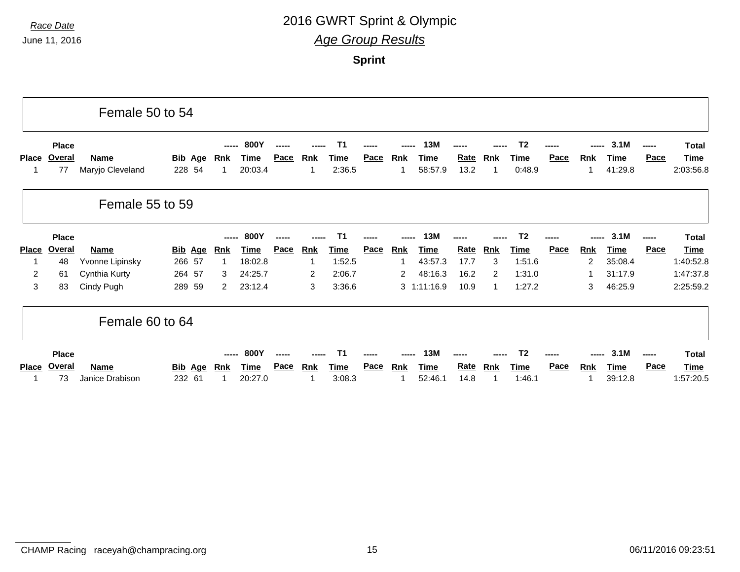June 11, 2016

### *Race Date* 2016 GWRT Sprint & Olympic *Age Group Results*

**Sprint**

|              |                              | Female 50 to 54                 |                                    |                           |                         |      |            |                |             |            |                        |                     |            |                                         |             |                |                         |                      |                                          |
|--------------|------------------------------|---------------------------------|------------------------------------|---------------------------|-------------------------|------|------------|----------------|-------------|------------|------------------------|---------------------|------------|-----------------------------------------|-------------|----------------|-------------------------|----------------------|------------------------------------------|
| <b>Place</b> | <b>Place</b><br>Overal<br>77 | <b>Name</b><br>Maryjo Cleveland | <u>Bib</u><br><u>Age</u><br>228 54 | -----<br><b>Rnk</b><br>-1 | 800Y<br>Time<br>20:03.4 | Pace | <b>Rnk</b> | Time<br>2:36.5 | <u>Pace</u> | <b>Rnk</b> | 13M<br>Time<br>58:57.9 | <u>Rate</u><br>13.2 | <b>Rnk</b> | T <sub>2</sub><br><b>Time</b><br>0:48.9 | Pace        | <b>Rnk</b>     | 3.1M<br>Time<br>41:29.8 | -----<br><b>Pace</b> | <b>Total</b><br><u>Time</u><br>2:03:56.8 |
|              |                              | Female 55 to 59                 |                                    |                           |                         |      |            |                |             |            |                        |                     |            |                                         |             |                |                         |                      |                                          |
|              | <b>Place</b>                 |                                 |                                    |                           | 800Y                    |      |            |                |             |            | 13M                    |                     |            | T <sub>2</sub>                          |             |                | 3.1M                    | -----                | <b>Total</b>                             |
| <b>Place</b> | Overal                       | <b>Name</b>                     | <u>Bib</u><br><u>Age</u>           | Rnk                       | Time                    | Pace | <b>Rnk</b> | Time           | <b>Pace</b> | Rnk        | Time                   | Rate                | Rnk        | Time                                    | <b>Pace</b> | <u>Rnk</u>     | Time                    | Pace                 | <u>Time</u>                              |
|              | 48                           | Yvonne Lipinsky                 | 266 57                             | 1                         | 18:02.8                 |      |            | 1:52.5         |             |            | 43:57.3                | 17.7                | 3          | 1:51.6                                  |             | $\overline{c}$ | 35:08.4                 |                      | 1:40:52.8                                |
| 2            | 61                           | Cynthia Kurty                   | 264<br>-57                         | 3                         | 24:25.7                 |      | 2          | 2:06.7         |             | 2          | 48:16.3                | 16.2                | 2          | 1:31.0                                  |             |                | 31:17.9                 |                      | 1:47:37.8                                |
| 3            | 83                           | Cindy Pugh                      | 289<br>59                          | 2                         | 23:12.4                 |      | 3          | 3:36.6         |             |            | $3 \quad 1:11:16.9$    | 10.9                | -1         | 1:27.2                                  |             | 3              | 46:25.9                 |                      | 2:25:59.2                                |
|              |                              | Female 60 to 64                 |                                    |                           |                         |      |            |                |             |            |                        |                     |            |                                         |             |                |                         |                      |                                          |
|              | <b>Place</b>                 |                                 |                                    |                           | 800Y                    |      |            |                |             |            | 13M                    |                     |            | Т2                                      |             |                | 3.1M                    | -----                | <b>Total</b>                             |
| <b>Place</b> | Overal                       | <b>Name</b>                     | <u>Bib</u><br>Age                  | <b>Rnk</b>                | Time                    | Pace | <b>Rnk</b> | Time           | Pace        | <b>Rnk</b> | Time                   | Rate                | Rnk        | Time                                    | Pace        | <b>Rnk</b>     | Time                    | <b>Pace</b>          | <b>Time</b>                              |
|              | 73                           | Janice Drabison                 | 232 61                             | 1                         | 20:27.0                 |      |            | 3:08.3         |             |            | 52:46.1                | 14.8                |            | 1:46.1                                  |             |                | 39:12.8                 |                      | 1:57:20.5                                |

CHAMP Racing raceyah@champracing.org 15 06/11/2016 09:23:51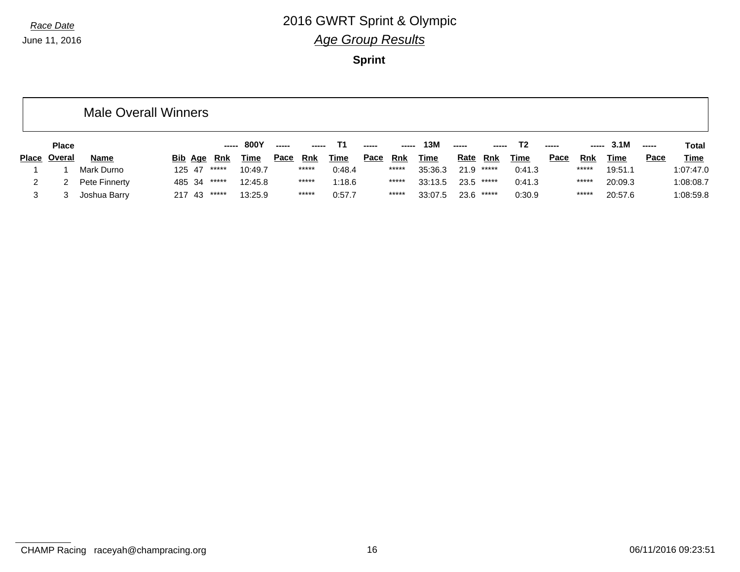June 11, 2016

### *Race Date* 2016 GWRT Sprint & Olympic *Age Group Results*

**Sprint**

|              |              | <b>Male Overall Winners</b> |         |       |         |             |            |             |             |       |             |             |              |             |             |       |         |       |             |
|--------------|--------------|-----------------------------|---------|-------|---------|-------------|------------|-------------|-------------|-------|-------------|-------------|--------------|-------------|-------------|-------|---------|-------|-------------|
|              | <b>Place</b> |                             |         |       | 800Y    | -----       |            |             | -----       | ----- | 13M         | ------      |              | Т2          | -----       | ----- | 3.1M    | ----- | Total       |
| <b>Place</b> | Overal       | <b>Name</b>                 | Bib Age | Rnk   | Time    | <u>Pace</u> | <u>Rnk</u> | <u>Time</u> | <u>Pace</u> | Rnk   | <u>Time</u> | <u>Rate</u> | Rnk          | <u>Time</u> | <u>Pace</u> | Rnk   | Time    | Pace  | <b>Time</b> |
|              |              | Mark Durno                  | 125 47  | ***** | 10:49.7 |             | *****      | 0:48.4      |             | ***** | 35:36.3     |             | $21.9$ ***** | 0:41.3      |             | ***** | 19:51.1 |       | 1:07:47.0   |
|              |              | Pete Finnerty               | 485 34  | ***** | 12:45.8 |             | *****      | 1:18.6      |             | ***** | 33:13.5     |             | $23.5$ ***** | 0:41.3      |             | ***** | 20:09.3 |       | 1:08:08.7   |
|              |              | Joshua Barry                | 217 43  | ***** | 13:25.9 |             | *****      | 0:57.7      |             | ***** | 33:07.5     | 23.6        | *****        | 0:30.9      |             | ***** | 20:57.6 |       | 1:08:59.8   |

CHAMP Racing raceyah@champracing.org 16 16 06/11/2016 09:23:51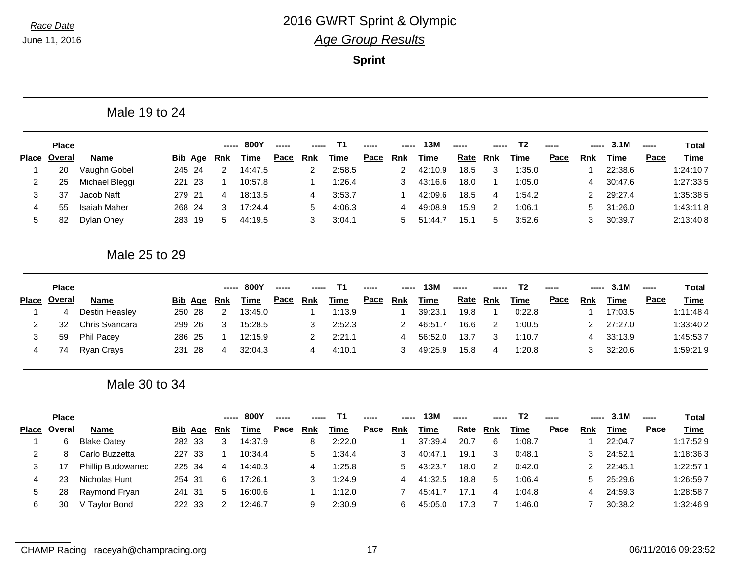|                |               | Male 19 to 24         |                |                |             |      |            |                |      |                |             |      |                |                |      |                        |             |       |              |
|----------------|---------------|-----------------------|----------------|----------------|-------------|------|------------|----------------|------|----------------|-------------|------|----------------|----------------|------|------------------------|-------------|-------|--------------|
|                | <b>Place</b>  |                       |                |                | 800Y        |      |            | T <sub>1</sub> |      |                | 13M         |      |                | T <sub>2</sub> |      |                        | 3.1M        |       | <b>Total</b> |
| <b>Place</b>   | Overal        | <b>Name</b>           | <b>Bib Age</b> | Rnk            | <b>Time</b> | Pace | Rnk        | <b>Time</b>    | Pace | <b>Rnk</b>     | <b>Time</b> | Rate | Rnk            | <b>Time</b>    | Pace | Rnk                    | <b>Time</b> | Pace  | <b>Time</b>  |
| -1             | 20            | Vaughn Gobel          | 245 24         | 2              | 14:47.5     |      | 2          | 2:58.5         |      | $\overline{c}$ | 42:10.9     | 18.5 | 3              | 1:35.0         |      | -1                     | 22:38.6     |       | 1:24:10.7    |
| $\overline{2}$ | 25            | Michael Bleggi        | 221 23         | -1             | 10:57.8     |      | 1          | 1:26.4         |      | 3              | 43:16.6     | 18.0 | $\mathbf 1$    | 1:05.0         |      | $\boldsymbol{\Lambda}$ | 30:47.6     |       | 1:27:33.5    |
| 3              | 37            | Jacob Naft            | 279<br>21      | 4              | 18:13.5     |      | 4          | 3:53.7         |      | 1              | 42:09.6     | 18.5 | 4              | 1:54.2         |      | $\overline{2}$         | 29:27.4     |       | 1:35:38.5    |
| $\overline{4}$ | 55            | <b>Isaiah Maher</b>   | 268<br>-24     | 3              | 17:24.4     |      | 5          | 4:06.3         |      | 4              | 49:08.9     | 15.9 | $\overline{c}$ | 1:06.1         |      | 5                      | 31:26.0     |       | 1:43:11.8    |
| 5              | 82            | Dylan Oney            | 283 19         | 5              | 44:19.5     |      | 3          | 3:04.1         |      | 5              | 51:44.7     | 15.1 | 5              | 3:52.6         |      | 3                      | 30:39.7     |       | 2:13:40.8    |
|                |               | Male 25 to 29         |                |                |             |      |            |                |      |                |             |      |                |                |      |                        |             |       |              |
|                | <b>Place</b>  |                       |                |                | 800Y        |      |            | T <sub>1</sub> |      |                | 13M         |      |                | T <sub>2</sub> |      |                        | 3.1M        |       | <b>Total</b> |
| <b>Place</b>   | <b>Overal</b> | <b>Name</b>           | <b>Bib Age</b> | <b>Rnk</b>     | <b>Time</b> | Pace | <b>Rnk</b> | <b>Time</b>    | Pace | Rnk            | <b>Time</b> | Rate | <b>Rnk</b>     | <b>Time</b>    | Pace | <b>Rnk</b>             | <b>Time</b> | Pace  | <b>Time</b>  |
| $\mathbf 1$    | 4             | <b>Destin Heasley</b> | 250 28         | $\overline{2}$ | 13:45.0     |      | 1          | 1:13.9         |      | 1              | 39:23.1     | 19.8 | $\mathbf 1$    | 0:22.8         |      | -1                     | 17:03.5     |       | 1:11:48.4    |
| 2              | 32            | Chris Svancara        | 299<br>26      | 3              | 15:28.5     |      | 3          | 2:52.3         |      | 2              | 46:51.7     | 16.6 | 2              | 1:00.5         |      | $\overline{2}$         | 27:27.0     |       | 1:33:40.2    |
| 3              | 59            | Phil Pacey            | 25<br>286      | 1              | 12:15.9     |      | 2          | 2:21.1         |      | 4              | 56:52.0     | 13.7 | 3              | 1:10.7         |      | $\overline{4}$         | 33:13.9     |       | 1:45:53.7    |
| $\overline{4}$ | 74            | Ryan Crays            | 28<br>231      | 4              | 32:04.3     |      | 4          | 4:10.1         |      | 3              | 49:25.9     | 15.8 | 4              | 1:20.8         |      | 3                      | 32:20.6     |       | 1:59:21.9    |
|                |               | Male 30 to 34         |                |                |             |      |            |                |      |                |             |      |                |                |      |                        |             |       |              |
|                | <b>Place</b>  |                       |                |                | 800Y        |      |            | T <sub>1</sub> |      |                | 13M         |      |                | T <sub>2</sub> |      |                        | 3.1M        | ----- | <b>Total</b> |
| Place          | <b>Overal</b> | <b>Name</b>           | <b>Bib Age</b> | <b>Rnk</b>     | <b>Time</b> | Pace | Rnk        | <b>Time</b>    | Pace | Rnk            | <b>Time</b> | Rate | Rnk            | <b>Time</b>    | Pace | <b>Rnk</b>             | <b>Time</b> | Pace  | <b>Time</b>  |
| $\mathbf 1$    | 6             | <b>Blake Oatey</b>    | 282 33         | 3              | 14:37.9     |      | 8          | 2:22.0         |      | 1              | 37:39.4     | 20.7 | 6              | 1:08.7         |      | -1                     | 22:04.7     |       | 1:17:52.9    |
| 2              | 8             | Carlo Buzzetta        | 227<br>-33     | 1              | 10:34.4     |      | 5          | 1:34.4         |      | 3              | 40:47.1     | 19.1 | 3              | 0:48.1         |      | 3                      | 24:52.1     |       | 1:18:36.3    |
| 3              | 17            | Phillip Budowanec     | 225<br>34      | 4              | 14:40.3     |      | 4          | 1:25.8         |      | 5              | 43:23.7     | 18.0 | 2              | 0:42.0         |      | $\overline{2}$         | 22:45.1     |       | 1:22:57.1    |
| $\overline{4}$ | 23            | Nicholas Hunt         | 254 31         | 6              | 17:26.1     |      | 3          | 1:24.9         |      | 4              | 41:32.5     | 18.8 | 5              | 1:06.4         |      | 5                      | 25:29.6     |       | 1:26:59.7    |
| 5              | 28            | Raymond Fryan         | 31<br>241      | 5              | 16:00.6     |      | 1          | 1:12.0         |      | $\overline{7}$ | 45:41.7     | 17.1 | $\overline{4}$ | 1:04.8         |      | $\overline{4}$         | 24:59.3     |       | 1:28:58.7    |
| 6              | 30            | V Taylor Bond         | 222 33         | $\overline{2}$ | 12:46.7     |      | 9          | 2:30.9         |      | 6              | 45:05.0     | 17.3 | $\overline{7}$ | 1:46.0         |      | $\overline{7}$         | 30:38.2     |       | 1:32:46.9    |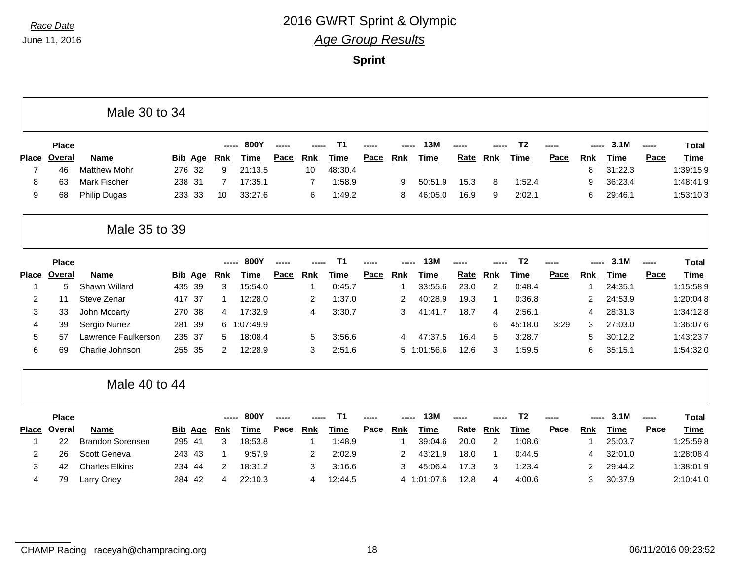|                |               | Male 30 to 34           |                |     |                    |             |      |                |             |      |                |                 |      |                |                |      |            |             |       |              |
|----------------|---------------|-------------------------|----------------|-----|--------------------|-------------|------|----------------|-------------|------|----------------|-----------------|------|----------------|----------------|------|------------|-------------|-------|--------------|
|                | <b>Place</b>  |                         |                |     |                    | 800Y        |      |                | Т1          |      |                | 13 <sub>N</sub> |      |                | T <sub>2</sub> |      |            | 3.1M        | ----- | <b>Total</b> |
| <b>Place</b>   | <b>Overal</b> | <b>Name</b>             | <u>Bib</u>     | Age | <b>Rnk</b>         | <b>Time</b> | Pace | Rnk            | <b>Time</b> | Pace | <b>Rnk</b>     | <b>Time</b>     | Rate | <b>Rnk</b>     | <b>Time</b>    | Pace | <b>Rnk</b> | <b>Time</b> | Pace  | <b>Time</b>  |
| $\overline{7}$ | 46            | <b>Matthew Mohr</b>     | 276 32         |     | 9                  | 21:13.5     |      | 10             | 48:30.4     |      |                |                 |      |                |                |      | 8          | 31:22.3     |       | 1:39:15.9    |
| 8              | 63            | <b>Mark Fischer</b>     | 238 31         |     | 7                  | 17:35.1     |      | $\overline{7}$ | 1:58.9      |      | 9              | 50:51.9         | 15.3 | 8              | 1:52.4         |      | 9          | 36:23.4     |       | 1:48:41.9    |
| 9              | 68            | <b>Philip Dugas</b>     | 233 33         |     | 10                 | 33:27.6     |      | 6              | 1:49.2      |      | 8              | 46:05.0         | 16.9 | 9              | 2:02.1         |      | 6          | 29:46.1     |       | 1:53:10.3    |
|                |               | Male 35 to 39           |                |     |                    |             |      |                |             |      |                |                 |      |                |                |      |            |             |       |              |
|                | <b>Place</b>  |                         |                |     | $- - - - -$        | 800Y        |      |                | Τ1          |      |                | 13M             |      |                | T <sub>2</sub> |      |            | 3.1M        | ----- | <b>Total</b> |
| <b>Place</b>   | Overal        | <b>Name</b>             | <b>Bib Age</b> |     | <b>Rnk</b>         | <b>Time</b> | Pace | Rnk            | <b>Time</b> | Pace | <b>Rnk</b>     | <b>Time</b>     | Rate | Rnk            | <b>Time</b>    | Pace | <b>Rnk</b> | <b>Time</b> | Pace  | <b>Time</b>  |
| 1              | 5             | Shawn Willard           | 435            | 39  | 3                  | 15:54.0     |      | $\mathbf 1$    | 0:45.7      |      | -1             | 33:55.6         | 23.0 | $\overline{2}$ | 0:48.4         |      |            | 24:35.1     |       | 1:15:58.9    |
| 2              | 11            | Steve Zenar             | 417 37         |     | 1                  | 12:28.0     |      | 2              | 1:37.0      |      | $\overline{2}$ | 40:28.9         | 19.3 | 1              | 0:36.8         |      | 2          | 24:53.9     |       | 1:20:04.8    |
| 3              | 33            | John Mccarty            | 270 38         |     | 4                  | 17:32.9     |      | 4              | 3:30.7      |      | 3              | 41:41.7         | 18.7 | 4              | 2:56.1         |      | 4          | 28:31.3     |       | 1:34:12.8    |
| 4              | 39            | Sergio Nunez            | 281            | 39  | 6                  | 1:07:49.9   |      |                |             |      |                |                 |      | 6              | 45:18.0        | 3:29 | 3          | 27:03.0     |       | 1:36:07.6    |
| 5              | 57            | Lawrence Faulkerson     | 235 37         |     | 5                  | 18:08.4     |      | 5              | 3:56.6      |      | $\overline{4}$ | 47:37.5         | 16.4 | 5              | 3:28.7         |      | 5          | 30:12.2     |       | 1:43:23.7    |
| 6              | 69            | Charlie Johnson         | 255 35         |     | $\overline{2}$     | 12:28.9     |      | 3              | 2:51.6      |      | 5              | 1:01:56.6       | 12.6 | 3              | 1:59.5         |      | 6          | 35:15.1     |       | 1:54:32.0    |
|                |               | Male 40 to 44           |                |     |                    |             |      |                |             |      |                |                 |      |                |                |      |            |             |       |              |
|                | <b>Place</b>  |                         |                |     |                    | 800Y        |      |                | Τ1          |      |                | 13M             |      |                | T <sub>2</sub> |      |            | 3.1M        | ----- | <b>Total</b> |
| <b>Place</b>   | Overal        | <b>Name</b>             |                |     | <b>Bib Age Rnk</b> | <b>Time</b> | Pace | <b>Rnk</b>     | <b>Time</b> | Pace | <b>Rnk</b>     | <b>Time</b>     | Rate | Rnk            | <b>Time</b>    | Pace | <b>Rnk</b> | <b>Time</b> | Pace  | <b>Time</b>  |
| 1              | 22            | <b>Brandon Sorensen</b> | 295 41         |     | 3                  | 18:53.8     |      | $\mathbf 1$    | 1:48.9      |      | $\overline{1}$ | 39:04.6         | 20.0 | $\overline{c}$ | 1:08.6         |      | -1         | 25:03.7     |       | 1:25:59.8    |
| 2              | 26            | Scott Geneva            | 243 43         |     | 1                  | 9:57.9      |      | 2              | 2:02.9      |      | 2              | 43:21.9         | 18.0 | 1              | 0:44.5         |      | 4          | 32:01.0     |       | 1:28:08.4    |
| 3              | 42            | <b>Charles Elkins</b>   | 234 44         |     | 2                  | 18:31.2     |      | 3              | 3:16.6      |      | 3              | 45:06.4         | 17.3 | 3              | 1:23.4         |      | 2          | 29:44.2     |       | 1:38:01.9    |
| 4              | 79            | Larry Oney              | 284            | -42 | 4                  | 22:10.3     |      | 4              | 12:44.5     |      | 4              | 1:01:07.6       | 12.8 | 4              | 4:00.6         |      | 3          | 30:37.9     |       | 2:10:41.0    |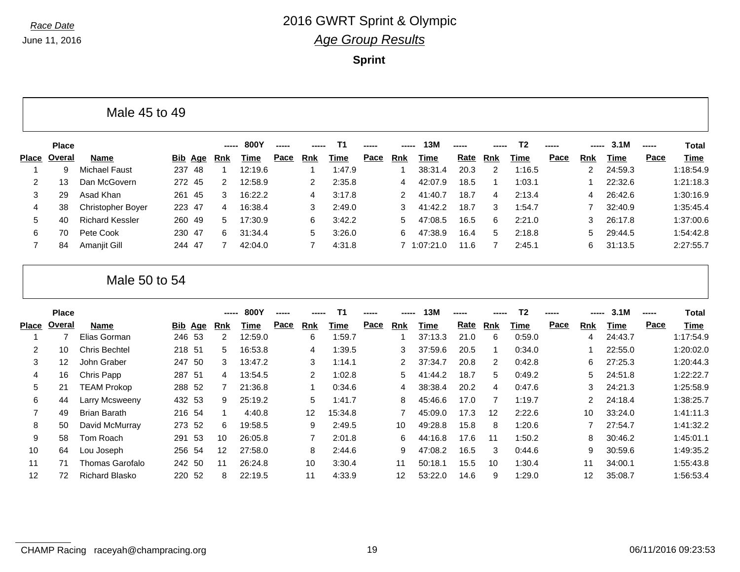|                      | <b>Place</b> |                          |                |     | -----        | 800Y    |             |                      | Т1     |      | ----- | 13M         |             |     | T2     | -----       | -----  | 3.1M    |      | <b>Total</b> |
|----------------------|--------------|--------------------------|----------------|-----|--------------|---------|-------------|----------------------|--------|------|-------|-------------|-------------|-----|--------|-------------|--------|---------|------|--------------|
| Place                | Overal       | <b>Name</b>              | <u>Bib Age</u> |     | <b>Rnk</b>   | Time    | <b>Pace</b> | Rnk                  | Time   | Pace | Rnk   | Time        | <u>Rate</u> | Rnk | Time   | <b>Pace</b> | Rnk    | Time    | Pace | Time         |
|                      | 9            | <b>Michael Faust</b>     | 237            | -48 |              | 12:19.6 |             |                      | 1:47.9 |      |       | 38:31.4     | 20.3        | 2   | 1:16.5 |             | $^{2}$ | 24:59.3 |      | 1:18:54.9    |
| $\mathbf{2}^{\circ}$ | 13           | Dan McGovern             | 272 45         |     | $\mathbf{2}$ | 12:58.9 |             | $\mathbf{2}^{\circ}$ | 2:35.8 |      | 4     | 42:07.9     | 18.5        |     | 1:03.1 |             |        | 22:32.6 |      | 1:21:18.3    |
| 3                    | 29           | Asad Khan                | 261 45         |     | 3            | 16:22.2 |             | 4                    | 3:17.8 |      | 2     | 41:40.7     | 18.7        | 4   | 2:13.4 |             | 4      | 26:42.6 |      | 1:30:16.9    |
| 4                    | 38           | <b>Christopher Boyer</b> | 223 47         |     | 4            | 16:38.4 |             | 3                    | 2:49.0 |      | 3     | 41:42.2     | 18.7        | 3   | 1:54.7 |             |        | 32:40.9 |      | 1:35:45.4    |
| 5                    | 40           | <b>Richard Kessler</b>   | 260 49         |     | 5            | 17:30.9 |             | 6                    | 3:42.2 |      | 5     | 47:08.5     | 16.5        | 6   | 2:21.0 |             | 3      | 26:17.8 |      | 1:37:00.6    |
| 6                    | 70           | Pete Cook                | 230 47         |     | 6.           | 31:34.4 |             | 5.                   | 3:26.0 |      | 6     | 47:38.9     | 16.4        | 5   | 2:18.8 |             | 5.     | 29:44.5 |      | 1:54:42.8    |
|                      | 84           | Amanjit Gill             | 244 47         |     | 7            | 42:04.0 |             |                      | 4:31.8 |      |       | 7 1:07:21.0 | 11.6        |     | 2:45.1 |             | 6      | 31:13.5 |      | 2:27:55.7    |

| Male 50 to 54 |  |
|---------------|--|
|---------------|--|

|       | <b>Place</b> |                       |        |                | ----- | <b>800Y</b> | $\frac{1}{2}$ | ----- | <b>T1</b> | ----- | -----           | 13M     | $\frac{1}{2}$ | ----- | T <sub>2</sub> | ----- | ----- | 3.1M    | $\frac{1}{2}$ | Total     |
|-------|--------------|-----------------------|--------|----------------|-------|-------------|---------------|-------|-----------|-------|-----------------|---------|---------------|-------|----------------|-------|-------|---------|---------------|-----------|
| Place | Overal       | Name                  |        | <b>Bib Age</b> | Rnk   | Time        | Pace          | Rnk   | Time      | Pace  | Rnk             | Time    | Rate          | Rnk   | Time           | Pace  | Rnk   | Time    | Pace          | Time      |
|       |              | Elias Gorman          |        | 246 53         | 2     | 12:59.0     |               | 6     | 1:59.7    |       |                 | 37:13.3 | 21.0          | 6     | 0:59.0         |       | 4     | 24:43.7 |               | 1:17:54.9 |
| 2     | 10           | <b>Chris Bechtel</b>  | 218 51 |                | 5.    | 16:53.8     |               | 4     | 1:39.5    |       | 3               | 37:59.6 | 20.5          |       | 0:34.0         |       |       | 22:55.0 |               | 1:20:02.0 |
| 3     | 12           | John Graber           | 247 50 |                | 3     | 13:47.2     |               | 3     | 1:14.1    |       | 2               | 37:34.7 | 20.8          | 2     | 0:42.8         |       | 6.    | 27:25.3 |               | 1:20:44.3 |
| 4     | 16           | Chris Papp            | 287 51 |                | 4     | 13:54.5     |               | 2     | 1:02.8    |       | 5               | 41:44.2 | 18.7          | 5     | 0:49.2         |       | 5     | 24:51.8 |               | 1:22:22.7 |
| 5     | 21           | <b>TEAM Prokop</b>    | 288 52 |                |       | 21:36.8     |               |       | 0:34.6    |       | 4               | 38:38.4 | 20.2          | 4     | 0:47.6         |       | 3     | 24:21.3 |               | 1:25:58.9 |
| 6     | 44           | Larry Mcsweeny        | 432 53 |                | 9     | 25:19.2     |               | 5     | 1:41.7    |       | 8               | 45:46.6 | 17.0          |       | 1:19.7         |       | 2     | 24:18.4 |               | 1:38:25.7 |
|       | 49           | <b>Brian Barath</b>   | 216 54 |                |       | 4:40.8      |               | 12    | 15:34.8   |       |                 | 45:09.0 | 17.3          | 12    | 2:22.6         |       | 10    | 33:24.0 |               | 1:41:11.3 |
| 8     | 50           | David McMurray        | 273 52 |                | 6     | 19:58.5     |               | 9     | 2:49.5    |       | 10              | 49:28.8 | 15.8          | 8     | 1:20.6         |       |       | 27:54.7 |               | 1:41:32.2 |
| 9     | 58           | Tom Roach             | 291    | - 53           | 10    | 26:05.8     |               | 7     | 2:01.8    |       | 6               | 44:16.8 | 17.6          | 11    | 1:50.2         |       | 8     | 30:46.2 |               | 1:45:01.1 |
| 10    | 64           | Lou Joseph            |        | 256 54         | 12    | 27:58.0     |               | 8     | 2:44.6    |       | 9               | 47:08.2 | 16.5          | 3     | 0:44.6         |       | 9     | 30:59.6 |               | 1:49:35.2 |
| 11    | 71           | Thomas Garofalo       | 242 50 |                | 11    | 26:24.8     |               | 10    | 3:30.4    |       | 11              | 50:18.1 | 15.5          | 10    | 1:30.4         |       | 11    | 34:00.1 |               | 1:55:43.8 |
| 12    | 72           | <b>Richard Blasko</b> | 220    | 52             | 8.    | 22:19.5     |               | 11    | 4:33.9    |       | 12 <sup>°</sup> | 53:22.0 | 14.6          | 9     | 1:29.0         |       | 12    | 35:08.7 |               | 1:56:53.4 |
|       |              |                       |        |                |       |             |               |       |           |       |                 |         |               |       |                |       |       |         |               |           |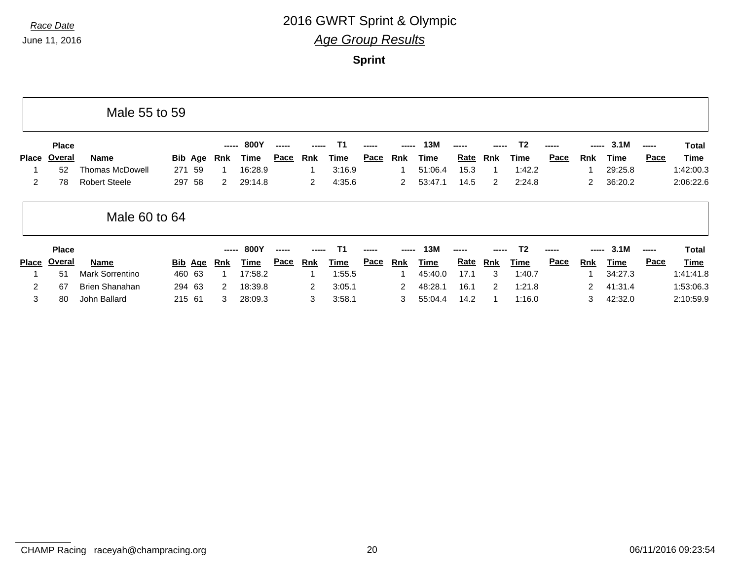|              |              | Male 55 to 59          |        |                |                      |             |             |                |           |             |                |         |             |            |                |             |              |         |      |             |
|--------------|--------------|------------------------|--------|----------------|----------------------|-------------|-------------|----------------|-----------|-------------|----------------|---------|-------------|------------|----------------|-------------|--------------|---------|------|-------------|
|              | <b>Place</b> |                        |        |                | -----                | <b>800Y</b> | -----       |                | <b>T1</b> |             | ------         | 13M     |             |            | T2             |             | -----        | 3.1M    |      | Total       |
| <b>Place</b> | Overal       | Name                   |        | <u>Bib</u> Age | Rnk                  | Time        | <u>Pace</u> | Rnk            | Time      | <u>Pace</u> | Rnk            | Time    | <b>Rate</b> | Rnk        | Time           | <b>Pace</b> | <b>Rnk</b>   | Time    | Pace | <b>Time</b> |
|              | 52           | <b>Thomas McDowell</b> | 271    | 59             |                      | 16:28.9     |             |                | 3:16.9    |             |                | 51:06.4 | 15.3        |            | 1:42.2         |             |              | 29:25.8 |      | 1:42:00.3   |
| 2            | 78           | <b>Robert Steele</b>   | 297    | 58             | $\mathbf{2}^{\circ}$ | 29:14.8     |             | $\overline{2}$ | 4:35.6    |             | 2              | 53:47.1 | 14.5        | 2          | 2:24.8         |             | $\mathbf{2}$ | 36:20.2 |      | 2:06:22.6   |
|              |              | Male 60 to 64          |        |                |                      |             |             |                |           |             |                |         |             |            |                |             |              |         |      |             |
|              | <b>Place</b> |                        |        |                |                      | 800Y        | -----       |                | T1        |             |                | 13M     |             |            | T <sub>2</sub> |             | -----        | 3.1M    |      | Total       |
| Place        | Overal       | Name                   |        | <u>Bib</u> Age | <u>Rnk</u>           | Time        | <u>Pace</u> | Rnk            | Time      | Pace        | Rnk            | Time    | <u>Rate</u> | <u>Rnk</u> | Time           | Pace        | <b>Rnk</b>   | Time    | Pace | <b>Time</b> |
|              | 51           | <b>Mark Sorrentino</b> |        | 460 63         |                      | 17:58.2     |             |                | 1:55.5    |             |                | 45:40.0 | 17.1        | 3          | 1:40.7         |             |              | 34:27.3 |      | 1:41:41.8   |
| 2            | 67           | <b>Brien Shanahan</b>  |        | 294 63         | 2                    | 18:39.8     |             | 2              | 3:05.1    |             | $\overline{2}$ | 48:28.1 | 16.1        | 2          | 1:21.8         |             | 2            | 41:31.4 |      | 1:53:06.3   |
| 3            | 80           | John Ballard           | 215 61 |                | 3                    | 28:09.3     |             | 3              | 3:58.1    |             | 3              | 55:04.4 | 14.2        |            | 1:16.0         |             | 3            | 42:32.0 |      | 2:10:59.9   |